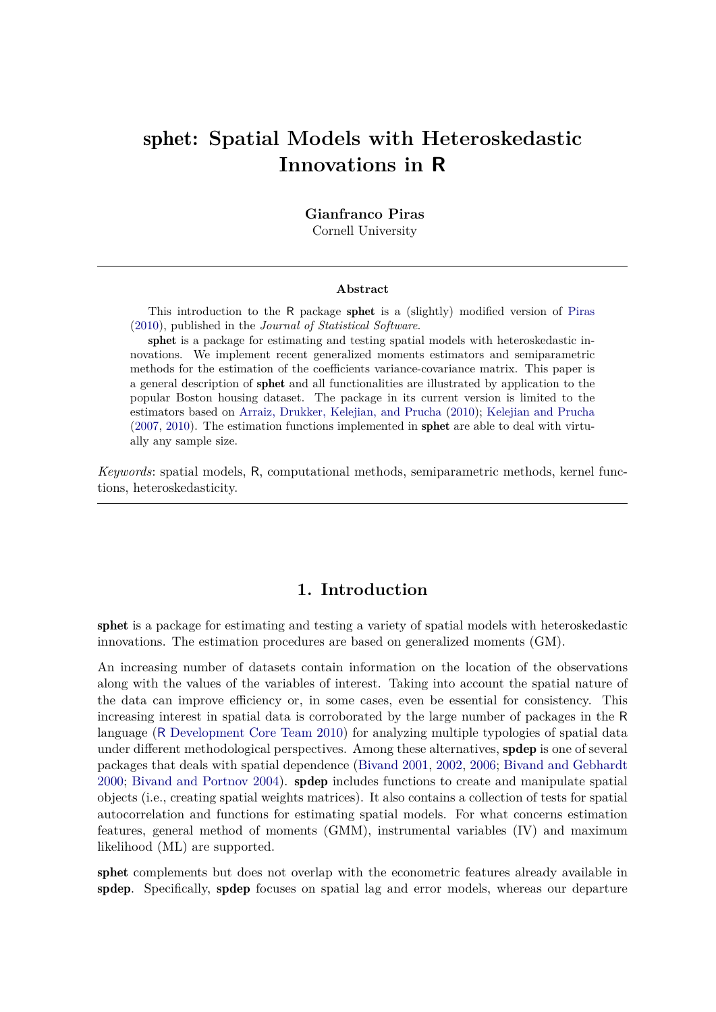# sphet**: Spatial Models with Heteroskedastic Innovations in R**

**Gianfranco Piras**

Cornell University

#### **Abstract**

This introduction to the R package sphet is a (slightly) modified version of [Piras](#page-19-0) [\(2010\)](#page-19-0), published in the *Journal of Statistical Software*.

sphet is a package for estimating and testing spatial models with heteroskedastic innovations. We implement recent generalized moments estimators and semiparametric methods for the estimation of the coefficients variance-covariance matrix. This paper is a general description of sphet and all functionalities are illustrated by application to the popular Boston housing dataset. The package in its current version is limited to the estimators based on [Arraiz, Drukker, Kelejian, and Prucha](#page-17-0) [\(2010\)](#page-17-0); [Kelejian and Prucha](#page-18-0) [\(2007,](#page-18-0) [2010\)](#page-19-1). The estimation functions implemented in sphet are able to deal with virtually any sample size.

*Keywords*: spatial models, R, computational methods, semiparametric methods, kernel functions, heteroskedasticity.

# **1. Introduction**

sphet is a package for estimating and testing a variety of spatial models with heteroskedastic innovations. The estimation procedures are based on generalized moments (GM).

An increasing number of datasets contain information on the location of the observations along with the values of the variables of interest. Taking into account the spatial nature of the data can improve efficiency or, in some cases, even be essential for consistency. This increasing interest in spatial data is corroborated by the large number of packages in the R language (R [Development Core Team 2010\)](#page-19-2) for analyzing multiple typologies of spatial data under different methodological perspectives. Among these alternatives, spdep is one of several packages that deals with spatial dependence [\(Bivand 2001,](#page-18-1) [2002,](#page-18-2) [2006;](#page-18-3) [Bivand and Gebhardt](#page-18-4) [2000;](#page-18-4) [Bivand and Portnov 2004\)](#page-18-5). spdep includes functions to create and manipulate spatial objects (i.e., creating spatial weights matrices). It also contains a collection of tests for spatial autocorrelation and functions for estimating spatial models. For what concerns estimation features, general method of moments (GMM), instrumental variables (IV) and maximum likelihood (ML) are supported.

sphet complements but does not overlap with the econometric features already available in spdep. Specifically, spdep focuses on spatial lag and error models, whereas our departure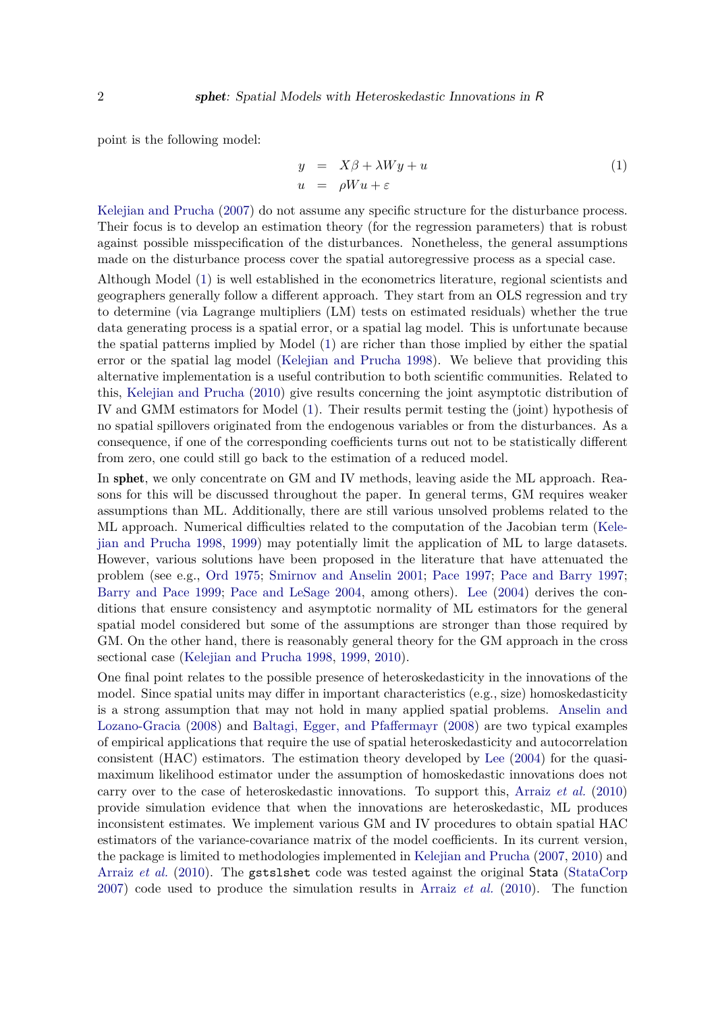point is the following model:

<span id="page-1-0"></span>
$$
y = X\beta + \lambda Wy + u
$$
  
\n
$$
u = \rho Wu + \varepsilon
$$
\n(1)

[Kelejian and Prucha](#page-18-0) [\(2007\)](#page-18-0) do not assume any specific structure for the disturbance process. Their focus is to develop an estimation theory (for the regression parameters) that is robust against possible misspecification of the disturbances. Nonetheless, the general assumptions made on the disturbance process cover the spatial autoregressive process as a special case.

Although Model [\(1\)](#page-1-0) is well established in the econometrics literature, regional scientists and geographers generally follow a different approach. They start from an OLS regression and try to determine (via Lagrange multipliers (LM) tests on estimated residuals) whether the true data generating process is a spatial error, or a spatial lag model. This is unfortunate because the spatial patterns implied by Model [\(1\)](#page-1-0) are richer than those implied by either the spatial error or the spatial lag model [\(Kelejian and Prucha 1998\)](#page-18-6). We believe that providing this alternative implementation is a useful contribution to both scientific communities. Related to this, [Kelejian and Prucha](#page-19-1) [\(2010\)](#page-19-1) give results concerning the joint asymptotic distribution of IV and GMM estimators for Model [\(1\)](#page-1-0). Their results permit testing the (joint) hypothesis of no spatial spillovers originated from the endogenous variables or from the disturbances. As a consequence, if one of the corresponding coefficients turns out not to be statistically different from zero, one could still go back to the estimation of a reduced model.

In sphet, we only concentrate on GM and IV methods, leaving aside the ML approach. Reasons for this will be discussed throughout the paper. In general terms, GM requires weaker assumptions than ML. Additionally, there are still various unsolved problems related to the ML approach. Numerical difficulties related to the computation of the Jacobian term [\(Kele](#page-18-6)[jian and Prucha 1998,](#page-18-6) [1999\)](#page-18-7) may potentially limit the application of ML to large datasets. However, various solutions have been proposed in the literature that have attenuated the problem (see e.g., [Ord 1975;](#page-19-3) [Smirnov and Anselin 2001;](#page-19-4) [Pace 1997;](#page-19-5) [Pace and Barry 1997;](#page-19-6) [Barry and Pace 1999;](#page-17-1) [Pace and LeSage 2004,](#page-19-7) among others). [Lee](#page-19-8) [\(2004\)](#page-19-8) derives the conditions that ensure consistency and asymptotic normality of ML estimators for the general spatial model considered but some of the assumptions are stronger than those required by GM. On the other hand, there is reasonably general theory for the GM approach in the cross sectional case [\(Kelejian and Prucha 1998,](#page-18-6) [1999,](#page-18-7) [2010\)](#page-19-1).

One final point relates to the possible presence of heteroskedasticity in the innovations of the model. Since spatial units may differ in important characteristics (e.g., size) homoskedasticity is a strong assumption that may not hold in many applied spatial problems. [Anselin and](#page-17-2) [Lozano-Gracia](#page-17-2) [\(2008\)](#page-17-2) and [Baltagi, Egger, and Pfaffermayr](#page-17-3) [\(2008\)](#page-17-3) are two typical examples of empirical applications that require the use of spatial heteroskedasticity and autocorrelation consistent (HAC) estimators. The estimation theory developed by [Lee](#page-19-8) [\(2004\)](#page-19-8) for the quasimaximum likelihood estimator under the assumption of homoskedastic innovations does not carry over to the case of heteroskedastic innovations. To support this, [Arraiz](#page-17-0) *et al.* [\(2010\)](#page-17-0) provide simulation evidence that when the innovations are heteroskedastic, ML produces inconsistent estimates. We implement various GM and IV procedures to obtain spatial HAC estimators of the variance-covariance matrix of the model coefficients. In its current version, the package is limited to methodologies implemented in [Kelejian and Prucha](#page-18-0) [\(2007,](#page-18-0) [2010\)](#page-19-1) and [Arraiz](#page-17-0) *et al.* [\(2010\)](#page-17-0). The gstslshet code was tested against the original Stata [\(StataCorp](#page-19-9) [2007\)](#page-19-9) code used to produce the simulation results in [Arraiz](#page-17-0) *et al.* [\(2010\)](#page-17-0). The function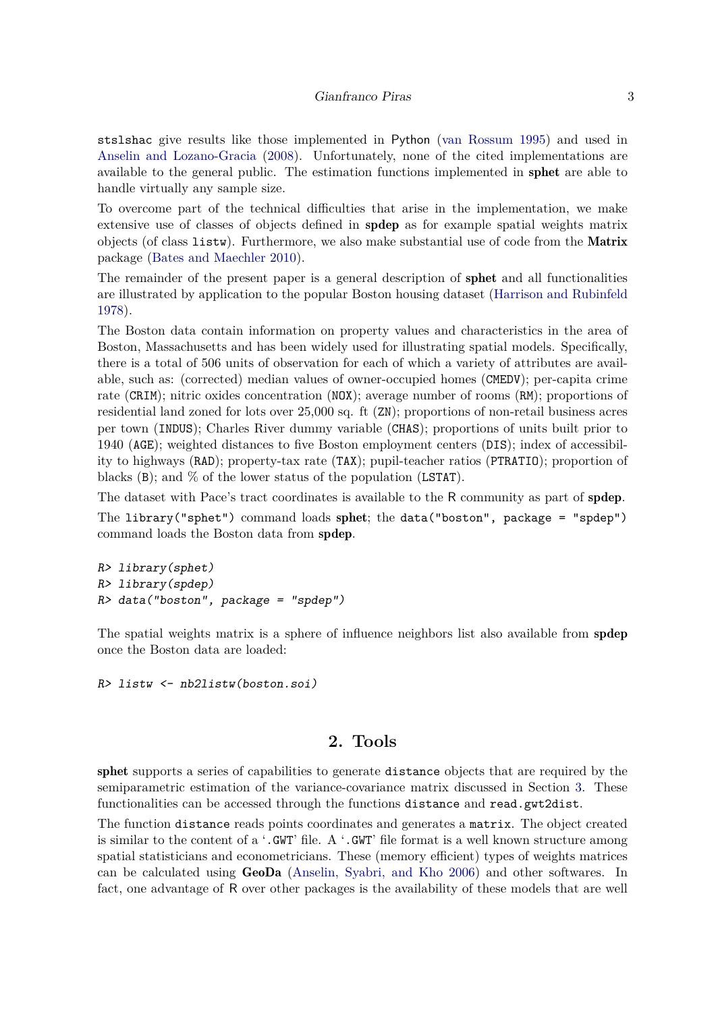stslshac give results like those implemented in Python [\(van Rossum 1995\)](#page-19-10) and used in [Anselin and Lozano-Gracia](#page-17-2) [\(2008\)](#page-17-2). Unfortunately, none of the cited implementations are available to the general public. The estimation functions implemented in sphet are able to handle virtually any sample size.

To overcome part of the technical difficulties that arise in the implementation, we make extensive use of classes of objects defined in spdep as for example spatial weights matrix objects (of class listw). Furthermore, we also make substantial use of code from the Matrix package [\(Bates and Maechler 2010\)](#page-17-4).

The remainder of the present paper is a general description of sphet and all functionalities are illustrated by application to the popular Boston housing dataset [\(Harrison and Rubinfeld](#page-18-8) [1978\)](#page-18-8).

The Boston data contain information on property values and characteristics in the area of Boston, Massachusetts and has been widely used for illustrating spatial models. Specifically, there is a total of 506 units of observation for each of which a variety of attributes are available, such as: (corrected) median values of owner-occupied homes (CMEDV); per-capita crime rate (CRIM); nitric oxides concentration (NOX); average number of rooms (RM); proportions of residential land zoned for lots over 25,000 sq. ft (ZN); proportions of non-retail business acres per town (INDUS); Charles River dummy variable (CHAS); proportions of units built prior to 1940 (AGE); weighted distances to five Boston employment centers (DIS); index of accessibility to highways (RAD); property-tax rate (TAX); pupil-teacher ratios (PTRATIO); proportion of blacks  $(B)$ ; and  $\%$  of the lower status of the population (LSTAT).

The dataset with Pace's tract coordinates is available to the R community as part of spdep.

The library("sphet") command loads sphet; the data("boston", package = "spdep") command loads the Boston data from spdep.

```
R> library(sphet)
R> library(spdep)
R> data("boston", package = "spdep")
```
The spatial weights matrix is a sphere of influence neighbors list also available from spdep once the Boston data are loaded:

*R> listw <- nb2listw(boston.soi)*

# **2. Tools**

sphet supports a series of capabilities to generate distance objects that are required by the semiparametric estimation of the variance-covariance matrix discussed in Section [3.](#page-5-0) These functionalities can be accessed through the functions distance and read.gwt2dist.

The function distance reads points coordinates and generates a matrix. The object created is similar to the content of a '.GWT' file. A '.GWT' file format is a well known structure among spatial statisticians and econometricians. These (memory efficient) types of weights matrices can be calculated using GeoDa [\(Anselin, Syabri, and Kho 2006\)](#page-17-5) and other softwares. In fact, one advantage of R over other packages is the availability of these models that are well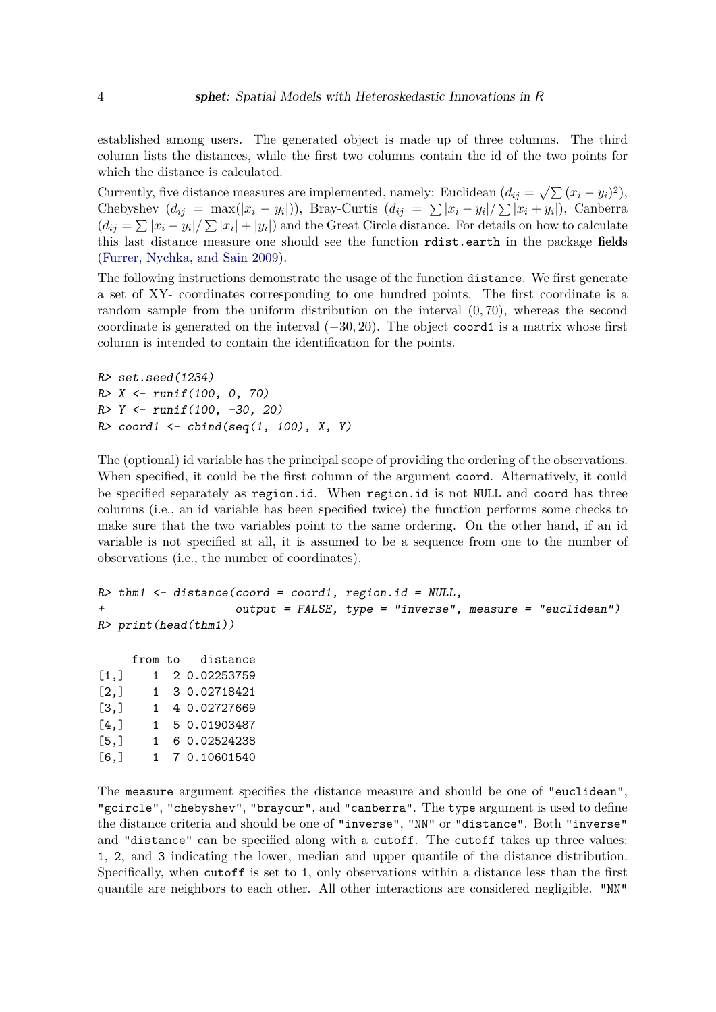established among users. The generated object is made up of three columns. The third column lists the distances, while the first two columns contain the id of the two points for which the distance is calculated.

Currently, five distance measures are implemented, namely: Euclidean  $(d_{ij} = \sqrt{\sum (x_i - y_i)^2})$ , Chebyshev  $(d_{ij} = \max(|x_i - y_i|))$ , Bray-Curtis  $(d_{ij} = \sum |x_i - y_i| / \sum |x_i + y_i|)$ , Canberra  $(d_{ij} = \sum |x_i - y_i| / \sum |x_i| + |y_i|)$  and the Great Circle distance. For details on how to calculate this last distance measure one should see the function rdist.earth in the package fields [\(Furrer, Nychka, and Sain 2009\)](#page-18-9).

The following instructions demonstrate the usage of the function distance. We first generate a set of XY- coordinates corresponding to one hundred points. The first coordinate is a random sample from the uniform distribution on the interval (0*,* 70), whereas the second coordinate is generated on the interval (−30*,* 20). The object coord1 is a matrix whose first column is intended to contain the identification for the points.

```
R> set.seed(1234)
R> X <- runif(100, 0, 70)
R> Y <- runif(100, -30, 20)
R> coord1 <- cbind(seq(1, 100), X, Y)
```
The (optional) id variable has the principal scope of providing the ordering of the observations. When specified, it could be the first column of the argument coord. Alternatively, it could be specified separately as region.id. When region.id is not NULL and coord has three columns (i.e., an id variable has been specified twice) the function performs some checks to make sure that the two variables point to the same ordering. On the other hand, if an id variable is not specified at all, it is assumed to be a sequence from one to the number of observations (i.e., the number of coordinates).

```
R> thm1 <- distance(coord = coord1, region.id = NULL,
+ output = FALSE, type = "inverse", measure = "euclidean")
R> print(head(thm1))
```
from to distance  $[1,]$  1 2 0.02253759 [2,] 1 3 0.02718421 [3,] 1 4 0.02727669  $[4,]$  1 5 0.01903487 [5,] 1 6 0.02524238 [6,] 1 7 0.10601540

The measure argument specifies the distance measure and should be one of "euclidean", "gcircle", "chebyshev", "braycur", and "canberra". The type argument is used to define the distance criteria and should be one of "inverse", "NN" or "distance". Both "inverse" and "distance" can be specified along with a cutoff. The cutoff takes up three values: 1, 2, and 3 indicating the lower, median and upper quantile of the distance distribution. Specifically, when cutoff is set to 1, only observations within a distance less than the first quantile are neighbors to each other. All other interactions are considered negligible. "NN"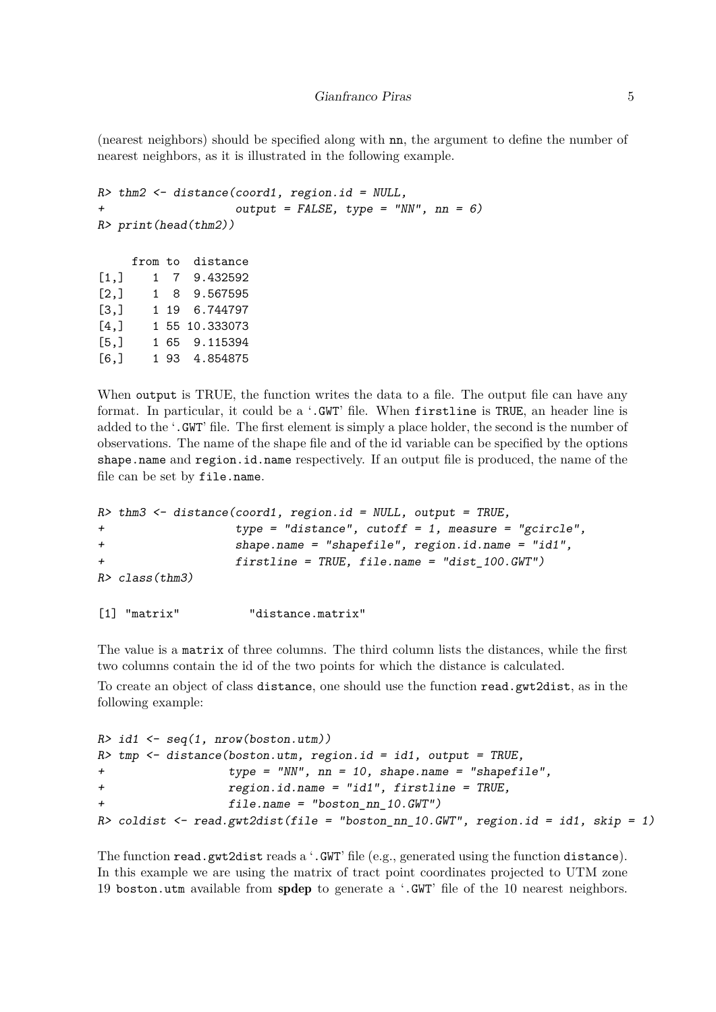(nearest neighbors) should be specified along with nn, the argument to define the number of nearest neighbors, as it is illustrated in the following example.

```
R> thm2 <- distance(coord1, region.id = NULL,
                  + output = FALSE, type = "NN", nn = 6)
R> print(head(thm2))
    from to distance
[1,] 1 7 9.432592
[2,] 1 8 9.567595
[3,] 1 19 6.744797
[4,] 1 55 10.333073
[5,] 1 65 9.115394
[6,] 1 93 4.854875
```
When output is TRUE, the function writes the data to a file. The output file can have any format. In particular, it could be a '.GWT' file. When firstline is TRUE, an header line is added to the '.GWT' file. The first element is simply a place holder, the second is the number of observations. The name of the shape file and of the id variable can be specified by the options shape.name and region.id.name respectively. If an output file is produced, the name of the file can be set by file.name.

```
R> thm3 <- distance(coord1, region.id = NULL, output = TRUE,
+ type = "distance", cutoff = 1, measure = "gcircle",
+ shape.name = "shapefile", region.id.name = "id1",
+ firstline = TRUE, file.name = "dist_100.GWT")
R> class(thm3)
```

```
[1] "matrix" "distance.matrix"
```
The value is a matrix of three columns. The third column lists the distances, while the first two columns contain the id of the two points for which the distance is calculated.

To create an object of class distance, one should use the function read.gwt2dist, as in the following example:

```
R> id1 <- seq(1, nrow(boston.utm))
R> tmp <- distance(boston.utm, region.id = id1, output = TRUE,
+ type = "NN", nn = 10, shape.name = "shapefile",
+ region.id.name = "id1", firstline = TRUE,
+ file.name = "boston_nn_10.GWT")
R> coldist <- read.gwt2dist(file = "boston_nn_10.GWT", region.id = id1, skip = 1)
```
The function read.gwt2dist reads a '.GWT' file (e.g., generated using the function distance). In this example we are using the matrix of tract point coordinates projected to UTM zone 19 boston.utm available from spdep to generate a '.GWT' file of the 10 nearest neighbors.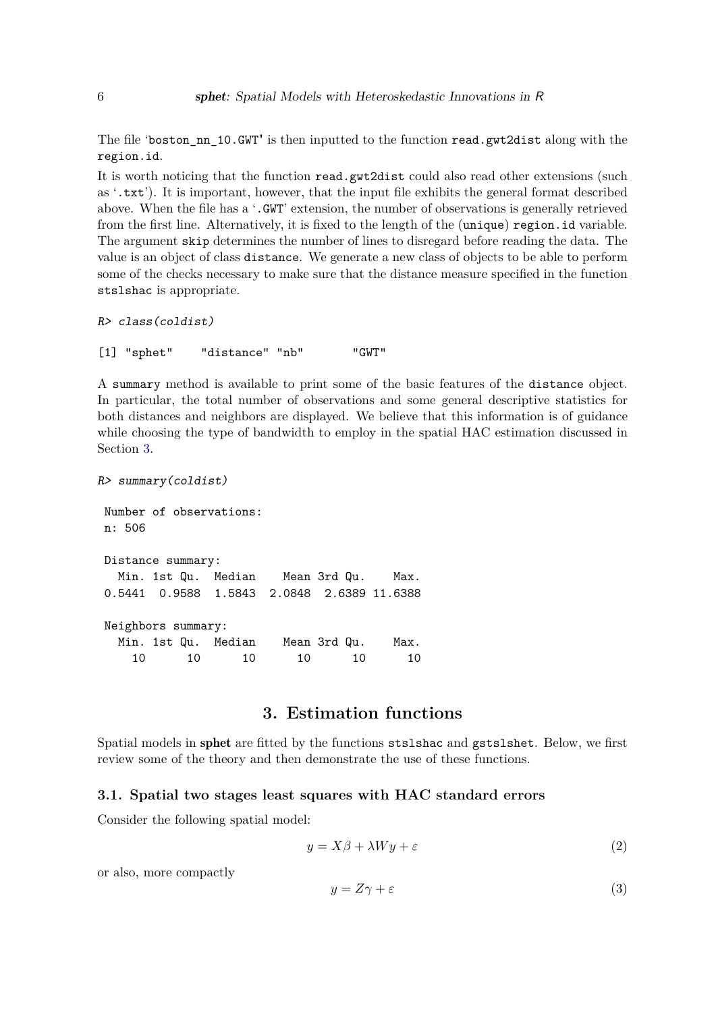The file 'boston\_nn\_10.GWT" is then inputted to the function read.gwt2dist along with the region.id.

It is worth noticing that the function read.gwt2dist could also read other extensions (such as '.txt'). It is important, however, that the input file exhibits the general format described above. When the file has a '.GWT' extension, the number of observations is generally retrieved from the first line. Alternatively, it is fixed to the length of the (unique) region.id variable. The argument skip determines the number of lines to disregard before reading the data. The value is an object of class distance. We generate a new class of objects to be able to perform some of the checks necessary to make sure that the distance measure specified in the function stslshac is appropriate.

```
R> class(coldist)
```

```
[1] "sphet" "distance" "nb" "GWT"
```
A summary method is available to print some of the basic features of the distance object. In particular, the total number of observations and some general descriptive statistics for both distances and neighbors are displayed. We believe that this information is of guidance while choosing the type of bandwidth to employ in the spatial HAC estimation discussed in Section [3.](#page-5-0)

```
R> summary(coldist)
Number of observations:
n: 506
Distance summary:
  Min. 1st Qu. Median Mean 3rd Qu. Max.
0.5441 0.9588 1.5843 2.0848 2.6389 11.6388
Neighbors summary:
  Min. 1st Qu. Median Mean 3rd Qu. Max.
    10 10 10 10 10 10
```
# **3. Estimation functions**

<span id="page-5-0"></span>Spatial models in sphet are fitted by the functions stslshac and gstslshet. Below, we first review some of the theory and then demonstrate the use of these functions.

#### <span id="page-5-2"></span>**3.1. Spatial two stages least squares with HAC standard errors**

Consider the following spatial model:

<span id="page-5-1"></span>
$$
y = X\beta + \lambda Wy + \varepsilon\tag{2}
$$

or also, more compactly

$$
y = Z\gamma + \varepsilon \tag{3}
$$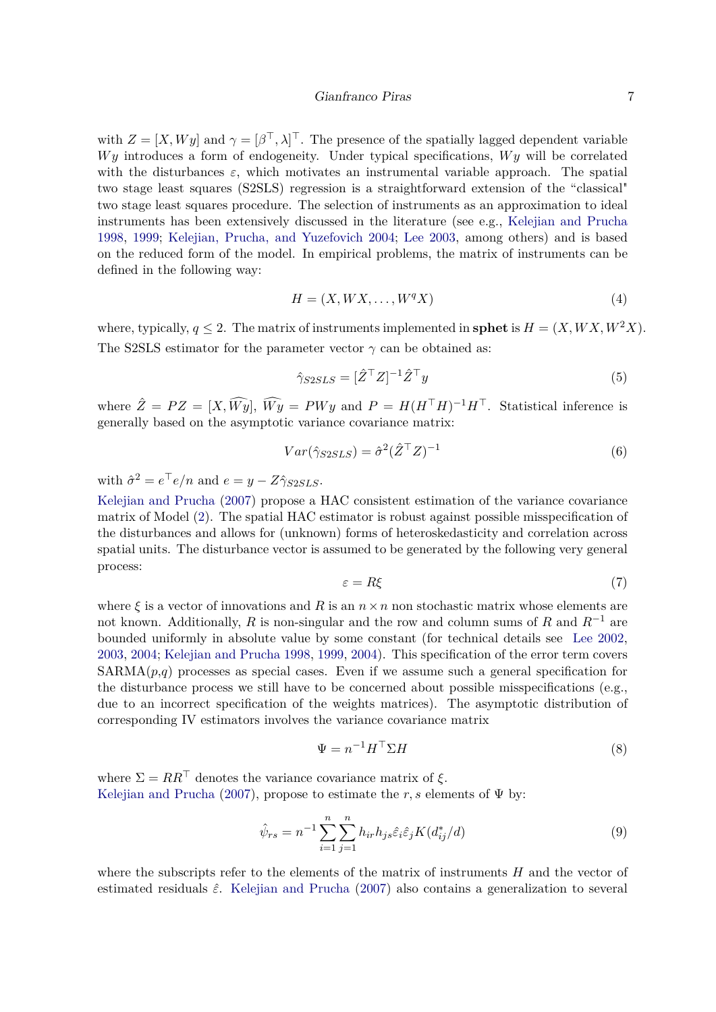#### Gianfranco Piras 7

with  $Z = [X, Wy]$  and  $\gamma = [\beta^\top, \lambda]^\top$ . The presence of the spatially lagged dependent variable *Wy* introduces a form of endogeneity. Under typical specifications, *Wy* will be correlated with the disturbances  $\varepsilon$ , which motivates an instrumental variable approach. The spatial two stage least squares (S2SLS) regression is a straightforward extension of the "classical" two stage least squares procedure. The selection of instruments as an approximation to ideal instruments has been extensively discussed in the literature (see e.g., [Kelejian and Prucha](#page-18-6) [1998,](#page-18-6) [1999;](#page-18-7) [Kelejian, Prucha, and Yuzefovich 2004;](#page-19-11) [Lee 2003,](#page-19-12) among others) and is based on the reduced form of the model. In empirical problems, the matrix of instruments can be defined in the following way:

<span id="page-6-1"></span>
$$
H = (X, W X, \dots, W^q X) \tag{4}
$$

where, typically,  $q \leq 2$ . The matrix of instruments implemented in **sphet** is  $H = (X,WX, W^2X)$ . The S2SLS estimator for the parameter vector  $\gamma$  can be obtained as:

$$
\hat{\gamma}_{S2SLS} = [\hat{Z}^\top Z]^{-1} \hat{Z}^\top y \tag{5}
$$

where  $\hat{Z} = PZ = [X, \widehat{Wy}], \widehat{Wy} = PWy$  and  $P = H(H^{\top}H)^{-1}H^{\top}$ . Statistical inference is generally based on the asymptotic variance covariance matrix:

$$
Var(\hat{\gamma}_{S2SLS}) = \hat{\sigma}^2 (\hat{Z}^\top Z)^{-1}
$$
\n(6)

with  $\hat{\sigma}^2 = e^{\top}e/n$  and  $e = y - Z\hat{\gamma}_{S2SLS}$ .

[Kelejian and Prucha](#page-18-0) [\(2007\)](#page-18-0) propose a HAC consistent estimation of the variance covariance matrix of Model [\(2\)](#page-5-1). The spatial HAC estimator is robust against possible misspecification of the disturbances and allows for (unknown) forms of heteroskedasticity and correlation across spatial units. The disturbance vector is assumed to be generated by the following very general process:

$$
\varepsilon = R\xi \tag{7}
$$

where  $\xi$  is a vector of innovations and *R* is an  $n \times n$  non stochastic matrix whose elements are not known. Additionally, *R* is non-singular and the row and column sums of *R* and *R*−<sup>1</sup> are bounded uniformly in absolute value by some constant (for technical details see [Lee 2002,](#page-19-13) [2003,](#page-19-12) [2004;](#page-19-8) [Kelejian and Prucha 1998,](#page-18-6) [1999,](#page-18-7) [2004\)](#page-18-10). This specification of the error term covers  $SARMA(p,q)$  processes as special cases. Even if we assume such a general specification for the disturbance process we still have to be concerned about possible misspecifications (e.g., due to an incorrect specification of the weights matrices). The asymptotic distribution of corresponding IV estimators involves the variance covariance matrix

<span id="page-6-0"></span>
$$
\Psi = n^{-1} H^{\top} \Sigma H \tag{8}
$$

where  $\Sigma = RR^{\top}$  denotes the variance covariance matrix of  $\xi$ . [Kelejian and Prucha](#page-18-0) [\(2007\)](#page-18-0), propose to estimate the *r*, *s* elements of  $\Psi$  by:

$$
\hat{\psi}_{rs} = n^{-1} \sum_{i=1}^{n} \sum_{j=1}^{n} h_{ir} h_{js} \hat{\varepsilon}_i \hat{\varepsilon}_j K(d_{ij}^*/d)
$$
\n(9)

where the subscripts refer to the elements of the matrix of instruments *H* and the vector of estimated residuals ˆ*ε*. [Kelejian and Prucha](#page-18-0) [\(2007\)](#page-18-0) also contains a generalization to several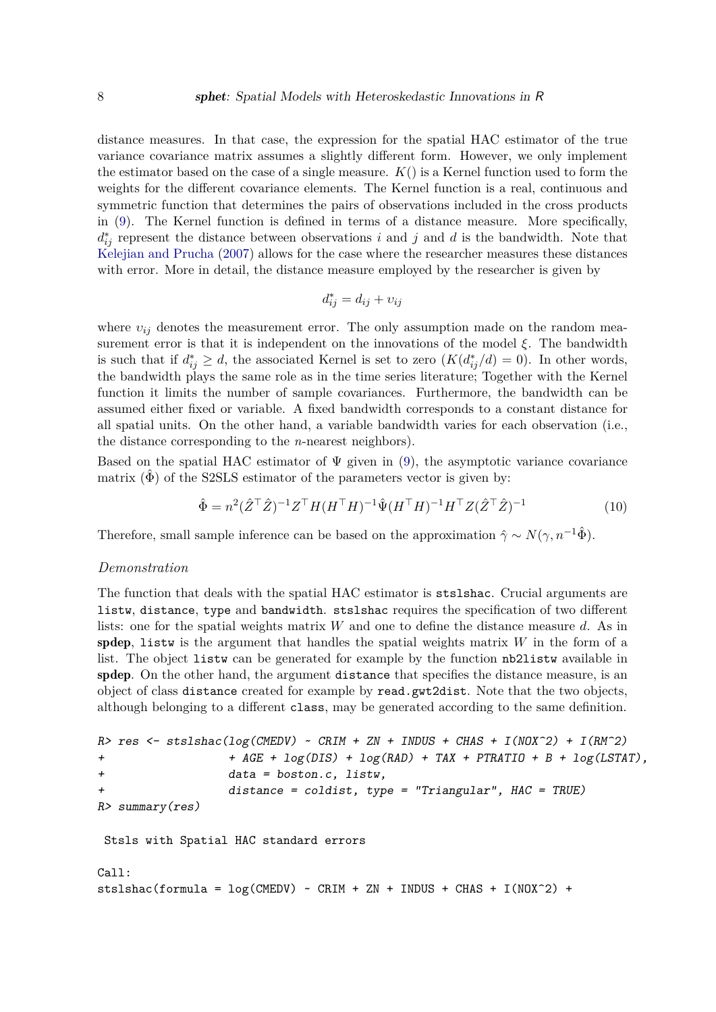distance measures. In that case, the expression for the spatial HAC estimator of the true variance covariance matrix assumes a slightly different form. However, we only implement the estimator based on the case of a single measure. *K*() is a Kernel function used to form the weights for the different covariance elements. The Kernel function is a real, continuous and symmetric function that determines the pairs of observations included in the cross products in [\(9\)](#page-6-0). The Kernel function is defined in terms of a distance measure. More specifically,  $d_{ij}^*$  represent the distance between observations *i* and *j* and *d* is the bandwidth. Note that [Kelejian and Prucha](#page-18-0) [\(2007\)](#page-18-0) allows for the case where the researcher measures these distances with error. More in detail, the distance measure employed by the researcher is given by

$$
d_{ij}^* = d_{ij} + v_{ij}
$$

where  $v_{ij}$  denotes the measurement error. The only assumption made on the random measurement error is that it is independent on the innovations of the model *ξ*. The bandwidth is such that if  $d_{ij}^* \geq d$ , the associated Kernel is set to zero  $(K(d_{ij}^*/d) = 0)$ . In other words, the bandwidth plays the same role as in the time series literature; Together with the Kernel function it limits the number of sample covariances. Furthermore, the bandwidth can be assumed either fixed or variable. A fixed bandwidth corresponds to a constant distance for all spatial units. On the other hand, a variable bandwidth varies for each observation (i.e., the distance corresponding to the *n*-nearest neighbors).

Based on the spatial HAC estimator of  $\Psi$  given in [\(9\)](#page-6-0), the asymptotic variance covariance matrix  $(\Phi)$  of the S2SLS estimator of the parameters vector is given by:

$$
\hat{\Phi} = n^2 (\hat{Z}^\top \hat{Z})^{-1} Z^\top H (H^\top H)^{-1} \hat{\Psi} (H^\top H)^{-1} H^\top Z (\hat{Z}^\top \hat{Z})^{-1} \tag{10}
$$

Therefore, small sample inference can be based on the approximation  $\hat{\gamma} \sim N(\gamma, n^{-1}\hat{\Phi})$ .

#### *Demonstration*

The function that deals with the spatial HAC estimator is stslshac. Crucial arguments are listw, distance, type and bandwidth. stslshac requires the specification of two different lists: one for the spatial weights matrix *W* and one to define the distance measure *d*. As in spdep, listw is the argument that handles the spatial weights matrix *W* in the form of a list. The object listw can be generated for example by the function nb2listw available in spdep. On the other hand, the argument distance that specifies the distance measure, is an object of class distance created for example by read.gwt2dist. Note that the two objects, although belonging to a different class, may be generated according to the same definition.

```
R res \le stslshac(log(CMEDV) \sim CRIM + ZN + INDUS + CHAS + I(NOX^2) + I(RM^2)
+ + AGE + log(DIS) + log(RAD) + TAX + PTRATIO + B + log(LSTAT),
+ data = boston.c, listw,
+ distance = coldist, type = "Triangular", HAC = TRUE)
R> summary(res)
Stsls with Spatial HAC standard errors
Call:
stslshac(formula = \log(CMEDV) ~ CRIM + ZN + INDUS + CHAS + I(NOX<sup>\sim</sup>2) +
```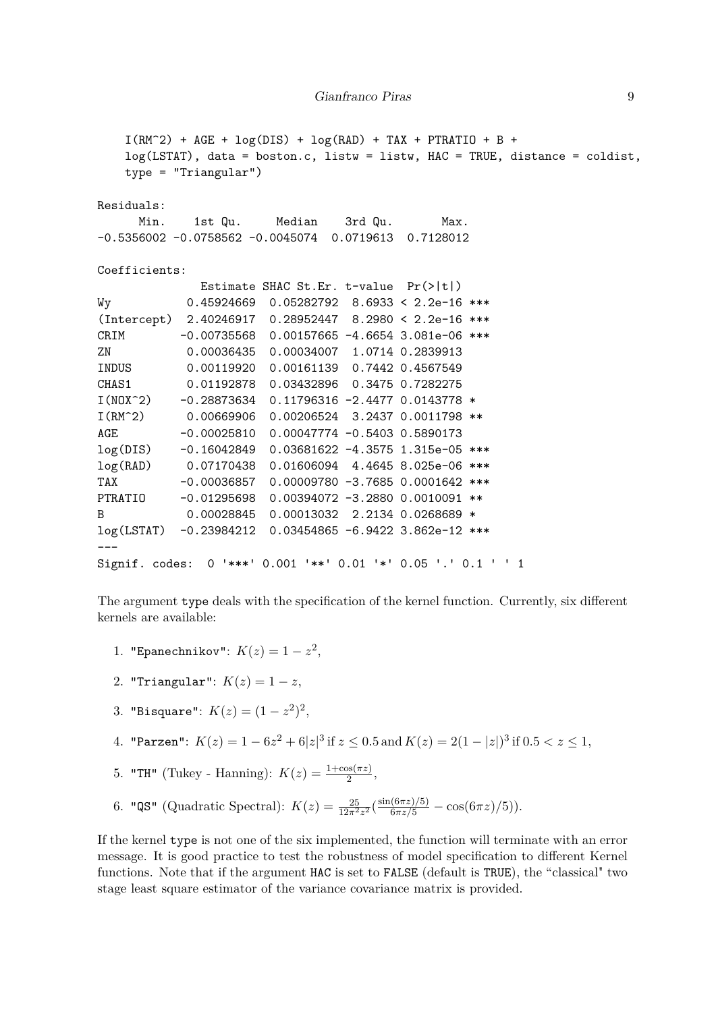```
I(RM^2) + AGE + log(DIS) + log(RAD) + TAX + PTRATIO + B +
   log(LSTAT), data = boston.c, listw = listw, HAC = TRUE, distance = coldist,
   type = "Triangular")
Residuals:
     Min. 1st Qu. Median 3rd Qu. Max.
-0.5356002 -0.0758562 -0.0045074 0.0719613 0.7128012
Coefficients:
             Estimate SHAC St.Er. t-value Pr(>|t|)
Wy 0.45924669 0.05282792 8.6933 < 2.2e-16 ***
(Intercept) 2.40246917 0.28952447 8.2980 < 2.2e-16 ***
CRIM -0.00735568 0.00157665 -4.6654 3.081e-06 ***
ZN 0.00036435 0.00034007 1.0714 0.2839913
INDUS 0.00119920 0.00161139 0.7442 0.4567549
CHAS1 0.01192878 0.03432896 0.3475 0.7282275
I(NOX^2) -0.28873634 0.11796316 -2.4477 0.0143778 *
I(RM^2) 0.00669906 0.00206524 3.2437 0.0011798 **
AGE -0.00025810 0.00047774 -0.5403 0.5890173
log(DIS) -0.16042849 0.03681622 -4.3575 1.315e-05 ***
log(RAD) 0.07170438 0.01606094 4.4645 8.025e-06 ***
TAX -0.00036857 0.00009780 -3.7685 0.0001642 ***
PTRATIO -0.01295698 0.00394072 -3.2880 0.0010091 **
B 0.00028845 0.00013032 2.2134 0.0268689 *
log(LSTAT) -0.23984212 0.03454865 -6.9422 3.862e-12 ***
---
Signif. codes: 0 '***' 0.001 '**' 0.01 '*' 0.05 '.' 0.1 ' ' 1
```
The argument type deals with the specification of the kernel function. Currently, six different kernels are available:

- 1. "Epanechnikov":  $K(z) = 1 z^2$ ,
- 2. "Triangular":  $K(z) = 1 z$ ,
- 3. "Bisquare":  $K(z) = (1 z^2)^2$ ,
- 4. "Parzen":  $K(z) = 1 6z^2 + 6|z|^3$  if  $z \le 0.5$  and  $K(z) = 2(1 |z|)^3$  if  $0.5 < z \le 1$ ,
- 5. "TH" (Tukey Hanning):  $K(z) = \frac{1 + \cos(\pi z)}{2}$ ,
- 6. "QS" (Quadratic Spectral):  $K(z) = \frac{25}{12\pi^2 z^2} \left( \frac{\sin(6\pi z)/5}{6\pi z/5} \cos(6\pi z)/5 \right)$ ).

If the kernel type is not one of the six implemented, the function will terminate with an error message. It is good practice to test the robustness of model specification to different Kernel functions. Note that if the argument HAC is set to FALSE (default is TRUE), the "classical" two stage least square estimator of the variance covariance matrix is provided.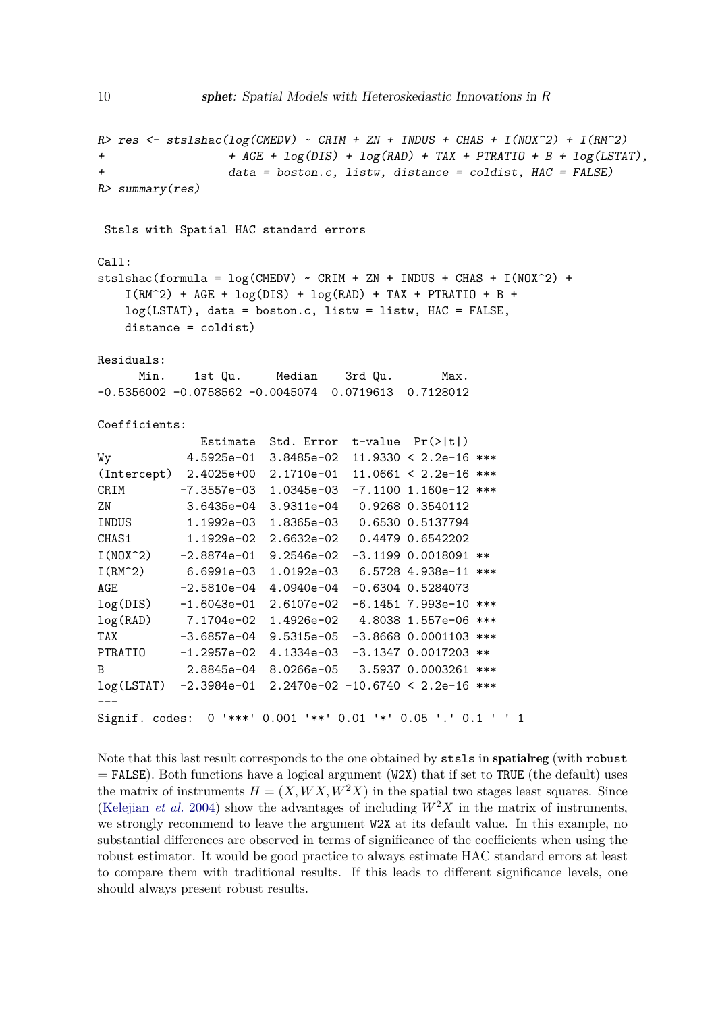```
R> res <- stslshac(log(CMEDV) ~ CRIM + ZN + INDUS + CHAS + I(NOX^2) + I(RM^2)
+ + AGE + log(DIS) + log(RAD) + TAX + PTRATIO + B + log(LSTAT),
+ data = boston.c, listw, distance = coldist, HAC = FALSE)
R> summary(res)
Stsls with Spatial HAC standard errors
stslshac(formula = log(CMEDV) ~ CRIM + ZN + INDUS + CHAS + I(NOX^2) +
```

```
I(RM^2) + AGE + log(DIS) + log(RAD) + TAX + PTRATIO + B +
log(LSTAT), data = boston.c, listw = listw, HAC = FALSE,
distance = coldist)
```
Residuals:

Call:

Min. 1st Qu. Median 3rd Qu. Max. -0.5356002 -0.0758562 -0.0045074 0.0719613 0.7128012

Coefficients:

|                | Estimate      | Std. Error   | $t$ -value $Pr(>  t )$                          |  |
|----------------|---------------|--------------|-------------------------------------------------|--|
| Wy             | 4.5925e-01    | 3.8485e-02   | $11.9330 < 2.2e-16$ ***                         |  |
| (Intercept)    | 2.4025e+00    | $2.1710e-01$ | $11.0661 < 2.2e-16$ ***                         |  |
| CRIM           | -7.3557e-03   | 1.0345e-03   | $-7.1100$ 1.160e-12 ***                         |  |
| ΖN             | 3.6435e-04    | $3.9311e-04$ | 0.9268 0.3540112                                |  |
| INDUS          | 1.1992e-03    | 1.8365e-03   | 0.6530 0.5137794                                |  |
| CHAS1          | 1.1929e-02    | 2.6632e-02   | 0.4479 0.6542202                                |  |
| $I(N0X^2)$     | -2.8874e-01   | $9.2546e-02$ | $-3.1199$ 0.0018091 **                          |  |
| $I(RM^2)$      | 6.6991e-03    | 1.0192e-03   | 6.5728 4.938e-11 ***                            |  |
| AGE            | $-2.5810e-04$ | 4.0940e-04   | $-0.6304$ 0.5284073                             |  |
| log(DIS)       | $-1.6043e-01$ | $2.6107e-02$ | $-6.1451$ 7.993e-10 ***                         |  |
| log(RAD)       | 7.1704e-02    | 1.4926e-02   | 4.8038 1.557e-06 ***                            |  |
| TAX            | -3.6857e-04   | 9.5315e-05   | $-3.8668$ 0.0001103 ***                         |  |
| PTRATIO        | -1.2957e-02   | 4.1334e-03   | -3.1347 0.0017203<br>$**$                       |  |
| B              | 2.8845e-04    |              | 8.0266e-05 3.5937 0.0003261<br>$***$            |  |
| log(LSTAT)     |               |              | $-2.3984e-01$ 2.2470e-02 -10.6740 < 2.2e-16 *** |  |
|                |               |              |                                                 |  |
| Signif. codes: | 0             |              | '***' 0.001 '**' 0.01 '*' 0.05 '.' 0.1 ' ' 1    |  |

Note that this last result corresponds to the one obtained by stsls in spatialreg (with robust  $=$  FALSE). Both functions have a logical argument (W2X) that if set to TRUE (the default) uses the matrix of instruments  $H = (X, WX, W^2X)$  in the spatial two stages least squares. Since [\(Kelejian](#page-19-11) *et al.* [2004\)](#page-19-11) show the advantages of including  $W^2X$  in the matrix of instruments, we strongly recommend to leave the argument W2X at its default value. In this example, no substantial differences are observed in terms of significance of the coefficients when using the robust estimator. It would be good practice to always estimate HAC standard errors at least to compare them with traditional results. If this leads to different significance levels, one should always present robust results.

10 sphet: Spatial Models with Heteroskedastic Innovations in R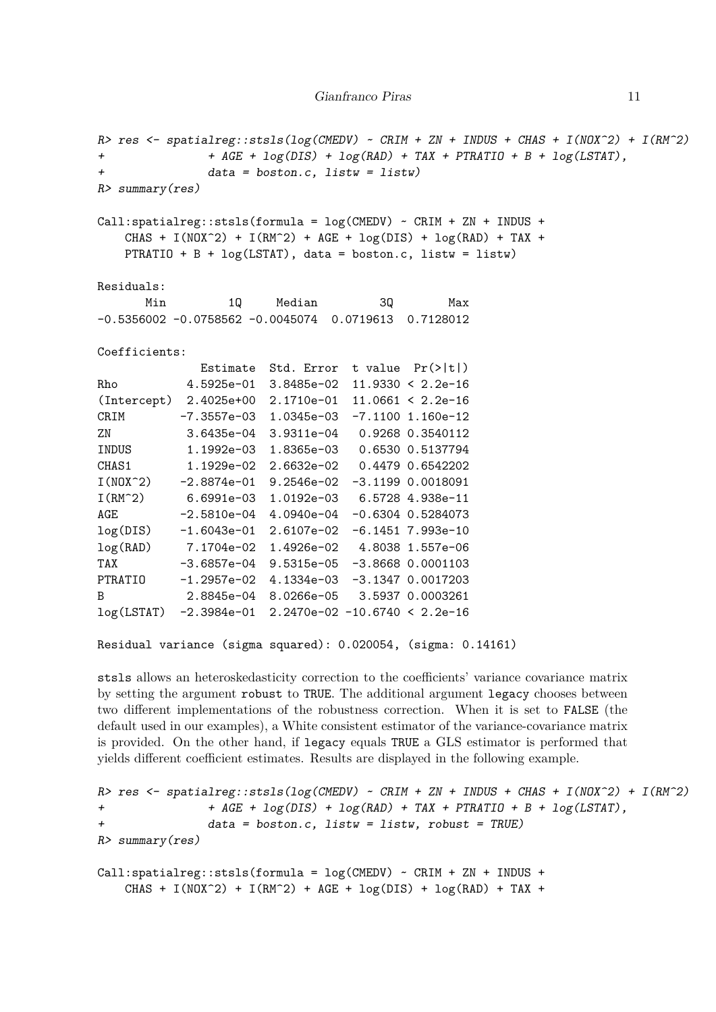```
R> res <- spatialreg::stsls(log(CMEDV) ~ CRIM + ZN + INDUS + CHAS + I(NOX^2) + I(RM^2)
+ + AGE + log(DIS) + log(RAD) + TAX + PTRATIO + B + log(LSTAT),
+ data = boston.c, listw = listw)
R> summary(res)
Call:spatialreg::stsls(formula = log(CMEDV) ~ CRIM + ZN + INDUS +CHAS + I(NOX^2) + I(RM^2) + AGE + log(DIS) + log(RAD) + TAX +PTRATIO + B + log(LSTAT), data = boston.c, listw = listw)
Residuals:
      Min 1Q Median 3Q Max
-0.5356002 -0.0758562 -0.0045074 0.0719613 0.7128012
Coefficients:
             Estimate Std. Error t value Pr(>|t|)
Rho 4.5925e-01 3.8485e-02 11.9330 < 2.2e-16
(Intercept) 2.4025e+00 2.1710e-01 11.0661 < 2.2e-16
CRIM -7.3557e-03 1.0345e-03 -7.1100 1.160e-12
ZN 3.6435e-04 3.9311e-04 0.9268 0.3540112
INDUS 1.1992e-03 1.8365e-03 0.6530 0.5137794
CHAS1 1.1929e-02 2.6632e-02 0.4479 0.6542202
I(NOX^2) -2.8874e-01 9.2546e-02 -3.1199 0.0018091
I(RM^2) 6.6991e-03 1.0192e-03 6.5728 4.938e-11
AGE -2.5810e-04 4.0940e-04 -0.6304 0.5284073
log(DIS) -1.6043e-01 2.6107e-02 -6.1451 7.993e-10
log(RAD) 7.1704e-02 1.4926e-02 4.8038 1.557e-06
TAX -3.6857e-04 9.5315e-05 -3.8668 0.0001103
PTRATIO -1.2957e-02 4.1334e-03 -3.1347 0.0017203
B 2.8845e-04 8.0266e-05 3.5937 0.0003261
log(LSTAT) -2.3984e-01 2.2470e-02 -10.6740 < 2.2e-16
Residual variance (sigma squared): 0.020054, (sigma: 0.14161)
```
stsls allows an heteroskedasticity correction to the coefficients' variance covariance matrix by setting the argument robust to TRUE. The additional argument legacy chooses between two different implementations of the robustness correction. When it is set to FALSE (the default used in our examples), a White consistent estimator of the variance-covariance matrix is provided. On the other hand, if legacy equals TRUE a GLS estimator is performed that yields different coefficient estimates. Results are displayed in the following example.

```
R> res <- spatialreg::stsls(log(CMEDV) ~ CRIM + ZN + INDUS + CHAS + I(NOX^2) + I(RM^2)
+ + AGE + log(DIS) + log(RAD) + TAX + PTRATIO + B + log(LSTAT),
+ data = boston.c, listw = listw, robust = TRUE)
R> summary(res)
Call:spatialreg::stsls(formula = log(CMEDV) ~ CRIM + ZN + INDUS +CHAS + I(NOX^2) + I(RM^2) + AGE + log(DIS) + log(RAD) + TAX +
```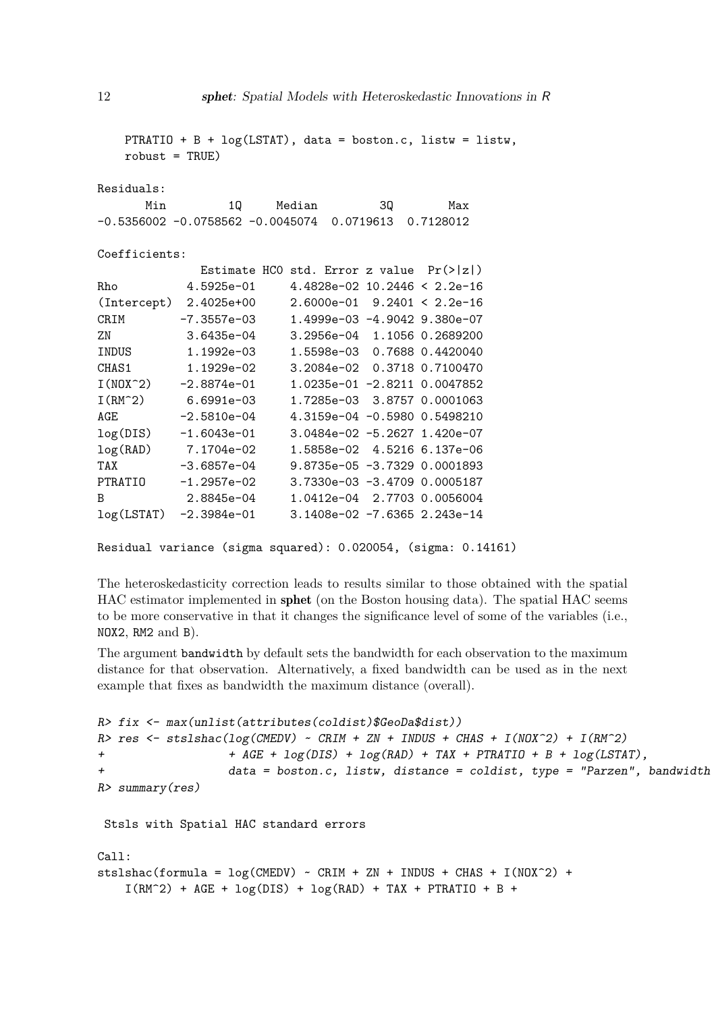| $robust = TRUE)$ |                        |                                                        |    | PTRATIO + B + $log(LSTAT)$ , data = boston.c, listw = listw, |  |
|------------------|------------------------|--------------------------------------------------------|----|--------------------------------------------------------------|--|
| Residuals:       |                        |                                                        |    |                                                              |  |
|                  |                        | Min 10 Median                                          | 3Q | Max                                                          |  |
|                  |                        | $-0.5356002 -0.0758562 -0.0045074 0.0719613 0.7128012$ |    |                                                              |  |
| Coefficients:    |                        |                                                        |    |                                                              |  |
|                  |                        | Estimate HCO std. Error z value $Pr(> z )$             |    |                                                              |  |
| Rho              |                        | $4.5925e-01$ $4.4828e-02$ $10.2446 < 2.2e-16$          |    |                                                              |  |
|                  |                        | (Intercept) 2.4025e+00 2.6000e-01 9.2401 < 2.2e-16     |    |                                                              |  |
|                  |                        | CRIM -7.3557e-03 1.4999e-03 -4.9042 9.380e-07          |    |                                                              |  |
| ZN               |                        | $3.6435e-04$ $3.2956e-04$ $1.1056$ 0.2689200           |    |                                                              |  |
|                  |                        | INDUS 1.1992e-03 1.5598e-03 0.7688 0.4420040           |    |                                                              |  |
|                  |                        | CHAS1 1.1929e-02 3.2084e-02 0.3718 0.7100470           |    |                                                              |  |
|                  |                        | $I(N0X^2)$ -2.8874e-01 1.0235e-01 -2.8211 0.0047852    |    |                                                              |  |
|                  |                        | I(RM^2) 6.6991e-03 1.7285e-03 3.8757 0.0001063         |    |                                                              |  |
| AGE              |                        | $-2.5810e-04$ $4.3159e-04$ $-0.5980$ 0.5498210         |    |                                                              |  |
|                  | $log(DIS)$ -1.6043e-01 |                                                        |    | $3.0484e-02 -5.2627$ 1.420e-07                               |  |
|                  | log(RAD) 7.1704e-02    |                                                        |    | 1.5858e-02 4.5216 6.137e-06                                  |  |
| TAX              |                        |                                                        |    |                                                              |  |
|                  |                        | PTRATIO -1.2957e-02 3.7330e-03 -3.4709 0.0005187       |    |                                                              |  |
| B                |                        |                                                        |    |                                                              |  |
|                  |                        | log(LSTAT) -2.3984e-01 3.1408e-02 -7.6365 2.243e-14    |    |                                                              |  |

Residual variance (sigma squared): 0.020054, (sigma: 0.14161)

The heteroskedasticity correction leads to results similar to those obtained with the spatial HAC estimator implemented in sphet (on the Boston housing data). The spatial HAC seems to be more conservative in that it changes the significance level of some of the variables (i.e., NOX2, RM2 and B).

The argument bandwidth by default sets the bandwidth for each observation to the maximum distance for that observation. Alternatively, a fixed bandwidth can be used as in the next example that fixes as bandwidth the maximum distance (overall).

```
R> fix <- max(unlist(attributes(coldist)$GeoDa$dist))
R> res <- stslshac(log(CMEDV) ~ CRIM + ZN + INDUS + CHAS + I(NOX^2) + I(RM^2)
+ + AGE + log(DIS) + log(RAD) + TAX + PTRATIO + B + log(LSTAT),
+ data = boston.c, listw, distance = coldist, type = "Parzen", bandwidth =
R> summary(res)
Stsls with Spatial HAC standard errors
```

```
Call:
stslshac(formula = \log(CMEDV) ~ CRIM + ZN + INDUS + CHAS + I(NOX<sup>\sim</sup>2) +
    I(RM^2) + AGE + log(DIS) + log(RAD) + TAX + PTRATIO + B +
```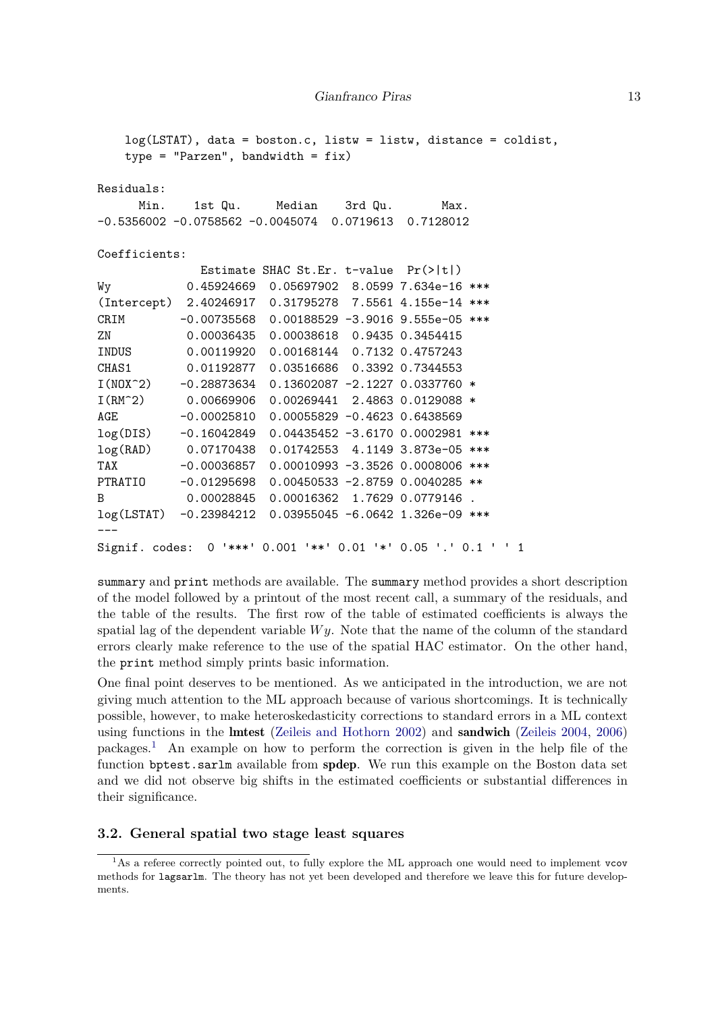```
log(LSTAT), data = boston.c, listw = listw, distance = coldist,
   type = "Parzen", bandwidth = fix)
Residuals:
     Min. 1st Qu. Median 3rd Qu. Max.
-0.5356002 -0.0758562 -0.0045074 0.0719613 0.7128012
Coefficients:
             Estimate SHAC St.Er. t-value Pr(>|t|)
Wy 0.45924669 0.05697902 8.0599 7.634e-16 ***
(Intercept) 2.40246917 0.31795278 7.5561 4.155e-14 ***
CRIM -0.00735568 0.00188529 -3.9016 9.555e-05 ***
ZN 0.00036435 0.00038618 0.9435 0.3454415
INDUS 0.00119920 0.00168144 0.7132 0.4757243
CHAS1 0.01192877 0.03516686 0.3392 0.7344553
I(N0X^2) -0.28873634 0.13602087 -2.1227 0.0337760 *
I(RM^2) 0.00669906 0.00269441 2.4863 0.0129088 *
AGE -0.00025810 0.00055829 -0.4623 0.6438569
log(DIS) -0.16042849 0.04435452 -3.6170 0.0002981 ***
log(RAD) 0.07170438 0.01742553 4.1149 3.873e-05 ***
TAX -0.00036857 0.00010993 -3.3526 0.0008006 ***
PTRATIO -0.01295698 0.00450533 -2.8759 0.0040285 **
B 0.00028845 0.00016362 1.7629 0.0779146 .
log(LSTAT) -0.23984212 0.03955045 -6.0642 1.326e-09 ***
---
Signif. codes: 0 '***' 0.001 '**' 0.01 '*' 0.05 '.' 0.1 ' ' 1
```
summary and print methods are available. The summary method provides a short description of the model followed by a printout of the most recent call, a summary of the residuals, and the table of the results. The first row of the table of estimated coefficients is always the spatial lag of the dependent variable *Wy*. Note that the name of the column of the standard errors clearly make reference to the use of the spatial HAC estimator. On the other hand, the print method simply prints basic information.

One final point deserves to be mentioned. As we anticipated in the introduction, we are not giving much attention to the ML approach because of various shortcomings. It is technically possible, however, to make heteroskedasticity corrections to standard errors in a ML context using functions in the lmtest [\(Zeileis and Hothorn 2002\)](#page-20-0) and sandwich [\(Zeileis 2004,](#page-20-1) [2006\)](#page-20-2) packages.[1](#page-12-0) An example on how to perform the correction is given in the help file of the function bptest.sarlm available from spdep. We run this example on the Boston data set and we did not observe big shifts in the estimated coefficients or substantial differences in their significance.

#### **3.2. General spatial two stage least squares**

<span id="page-12-0"></span><sup>&</sup>lt;sup>1</sup>As a referee correctly pointed out, to fully explore the ML approach one would need to implement vcov methods for lagsarlm. The theory has not yet been developed and therefore we leave this for future developments.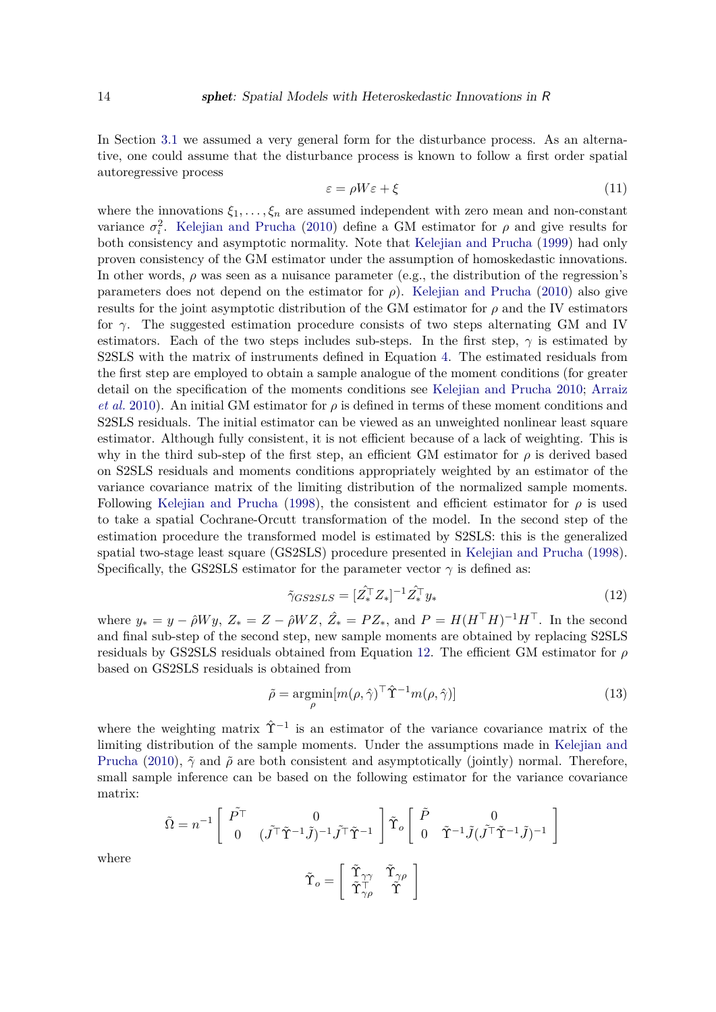In Section [3.1](#page-5-2) we assumed a very general form for the disturbance process. As an alternative, one could assume that the disturbance process is known to follow a first order spatial autoregressive process

$$
\varepsilon = \rho W \varepsilon + \xi \tag{11}
$$

where the innovations  $\xi_1, \ldots, \xi_n$  are assumed independent with zero mean and non-constant variance  $\sigma_i^2$ . [Kelejian and Prucha](#page-19-1) [\(2010\)](#page-19-1) define a GM estimator for  $\rho$  and give results for both consistency and asymptotic normality. Note that [Kelejian and Prucha](#page-18-7) [\(1999\)](#page-18-7) had only proven consistency of the GM estimator under the assumption of homoskedastic innovations. In other words,  $\rho$  was seen as a nuisance parameter (e.g., the distribution of the regression's parameters does not depend on the estimator for *ρ*). [Kelejian and Prucha](#page-19-1) [\(2010\)](#page-19-1) also give results for the joint asymptotic distribution of the GM estimator for  $\rho$  and the IV estimators for *γ*. The suggested estimation procedure consists of two steps alternating GM and IV estimators. Each of the two steps includes sub-steps. In the first step,  $\gamma$  is estimated by S2SLS with the matrix of instruments defined in Equation [4.](#page-6-1) The estimated residuals from the first step are employed to obtain a sample analogue of the moment conditions (for greater detail on the specification of the moments conditions see [Kelejian and Prucha 2010;](#page-19-1) [Arraiz](#page-17-0) *[et al.](#page-17-0)* [2010\)](#page-17-0). An initial GM estimator for  $\rho$  is defined in terms of these moment conditions and S2SLS residuals. The initial estimator can be viewed as an unweighted nonlinear least square estimator. Although fully consistent, it is not efficient because of a lack of weighting. This is why in the third sub-step of the first step, an efficient GM estimator for *ρ* is derived based on S2SLS residuals and moments conditions appropriately weighted by an estimator of the variance covariance matrix of the limiting distribution of the normalized sample moments. Following [Kelejian and Prucha](#page-18-6) [\(1998\)](#page-18-6), the consistent and efficient estimator for  $\rho$  is used to take a spatial Cochrane-Orcutt transformation of the model. In the second step of the estimation procedure the transformed model is estimated by S2SLS: this is the generalized spatial two-stage least square (GS2SLS) procedure presented in [Kelejian and Prucha](#page-18-6) [\(1998\)](#page-18-6). Specifically, the GS2SLS estimator for the parameter vector  $\gamma$  is defined as:

<span id="page-13-0"></span>
$$
\tilde{\gamma}_{GS2SLS} = [\hat{Z}_*^{\top} Z_*]^{-1} \hat{Z}_*^{\top} y_* \tag{12}
$$

where  $y_* = y - \hat{\rho} W y$ ,  $Z_* = Z - \hat{\rho} W Z$ ,  $\hat{Z_*} = P Z_*$ , and  $P = H (H^\top H)^{-1} H^\top$ . In the second and final sub-step of the second step, new sample moments are obtained by replacing S2SLS residuals by GS2SLS residuals obtained from Equation [12.](#page-13-0) The efficient GM estimator for *ρ* based on GS2SLS residuals is obtained from

$$
\tilde{\rho} = \underset{\rho}{\text{argmin}} [m(\rho, \hat{\gamma})^{\top} \hat{\Upsilon}^{-1} m(\rho, \hat{\gamma})]
$$
\n(13)

where the weighting matrix  $\hat{\Upsilon}^{-1}$  is an estimator of the variance covariance matrix of the limiting distribution of the sample moments. Under the assumptions made in [Kelejian and](#page-19-1) [Prucha](#page-19-1) [\(2010\)](#page-19-1),  $\tilde{\gamma}$  and  $\tilde{\rho}$  are both consistent and asymptotically (jointly) normal. Therefore, small sample inference can be based on the following estimator for the variance covariance matrix:

$$
\begin{aligned} \tilde{\Omega} &= n^{-1} \left[ \begin{array}{cc} \tilde{P^{\top}} & 0 \\ 0 & (\tilde{J^{\top}} \tilde{\Upsilon}^{-1} \tilde{J})^{-1} \tilde{J^{\top}} \tilde{\Upsilon}^{-1} \end{array} \right] \tilde{\Upsilon}_o \left[ \begin{array}{cc} \tilde{P} & 0 \\ 0 & \tilde{\Upsilon}^{-1} \tilde{J} (\tilde{J^{\top}} \tilde{\Upsilon}^{-1} \tilde{J})^{-1} \end{array} \right] \\ &\\ \tilde{\Upsilon}_o = \left[ \begin{array}{cc} \tilde{\Upsilon}_{\gamma\gamma} & \tilde{\Upsilon}_{\gamma\rho} \\ \tilde{\Upsilon}_{\gamma\rho}^{\top} & \tilde{\Upsilon} \end{array} \right] \end{aligned}
$$

where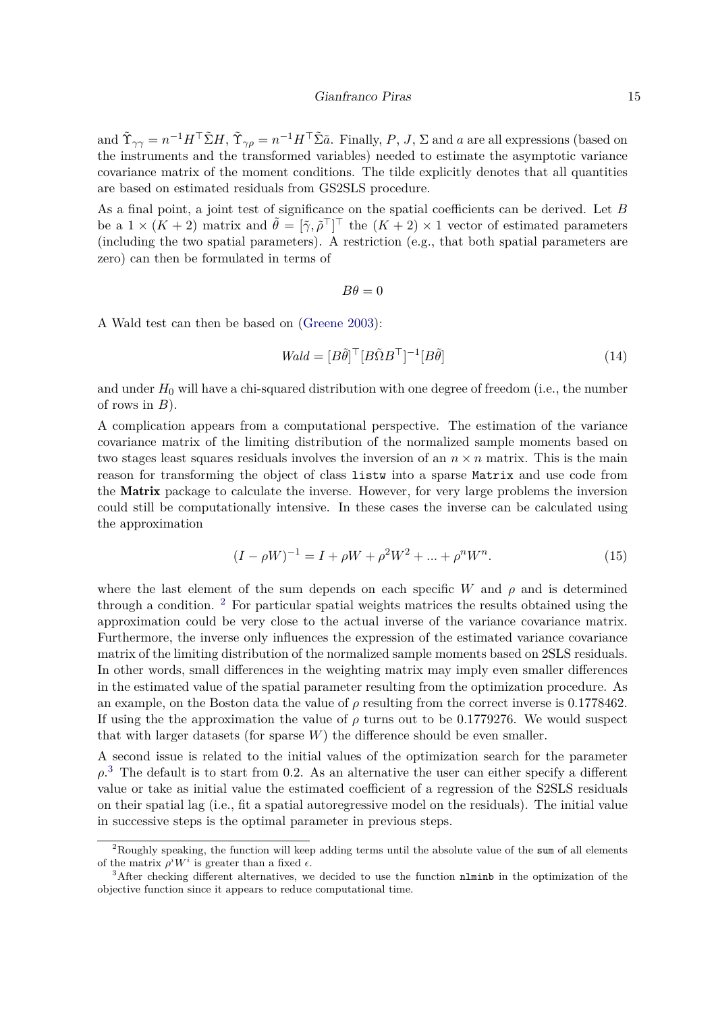#### Gianfranco Piras 15

and  $\tilde{\Upsilon}_{\gamma\gamma} = n^{-1}H^\top \tilde{\Sigma}H$ ,  $\tilde{\Upsilon}_{\gamma\rho} = n^{-1}H^\top \tilde{\Sigma} \tilde{a}$ . Finally, P, J,  $\Sigma$  and a are all expressions (based on the instruments and the transformed variables) needed to estimate the asymptotic variance covariance matrix of the moment conditions. The tilde explicitly denotes that all quantities are based on estimated residuals from GS2SLS procedure.

As a final point, a joint test of significance on the spatial coefficients can be derived. Let *B* be a  $1 \times (K + 2)$  matrix and  $\tilde{\theta} = [\tilde{\gamma}, \tilde{\rho}^{\top}]^{\top}$  the  $(K + 2) \times 1$  vector of estimated parameters (including the two spatial parameters). A restriction (e.g., that both spatial parameters are zero) can then be formulated in terms of

$$
B\theta = 0
$$

A Wald test can then be based on [\(Greene 2003\)](#page-18-11):

$$
Wald = [B\tilde{\theta}]^{\top} [B\tilde{\Omega}B^{\top}]^{-1} [B\tilde{\theta}]
$$
\n(14)

and under  $H_0$  will have a chi-squared distribution with one degree of freedom (i.e., the number of rows in *B*).

A complication appears from a computational perspective. The estimation of the variance covariance matrix of the limiting distribution of the normalized sample moments based on two stages least squares residuals involves the inversion of an  $n \times n$  matrix. This is the main reason for transforming the object of class listw into a sparse Matrix and use code from the Matrix package to calculate the inverse. However, for very large problems the inversion could still be computationally intensive. In these cases the inverse can be calculated using the approximation

<span id="page-14-2"></span>
$$
(I - \rho W)^{-1} = I + \rho W + \rho^2 W^2 + \dots + \rho^n W^n.
$$
\n(15)

where the last element of the sum depends on each specific *W* and *ρ* and is determined through a condition.  $2$  For particular spatial weights matrices the results obtained using the approximation could be very close to the actual inverse of the variance covariance matrix. Furthermore, the inverse only influences the expression of the estimated variance covariance matrix of the limiting distribution of the normalized sample moments based on 2SLS residuals. In other words, small differences in the weighting matrix may imply even smaller differences in the estimated value of the spatial parameter resulting from the optimization procedure. As an example, on the Boston data the value of  $\rho$  resulting from the correct inverse is 0.1778462. If using the the approximation the value of  $\rho$  turns out to be 0.1779276. We would suspect that with larger datasets (for sparse *W*) the difference should be even smaller.

A second issue is related to the initial values of the optimization search for the parameter  $\rho$ <sup>[3](#page-14-1)</sup>. The default is to start from 0.2. As an alternative the user can either specify a different value or take as initial value the estimated coefficient of a regression of the S2SLS residuals on their spatial lag (i.e., fit a spatial autoregressive model on the residuals). The initial value in successive steps is the optimal parameter in previous steps.

<span id="page-14-0"></span><sup>&</sup>lt;sup>2</sup>Roughly speaking, the function will keep adding terms until the absolute value of the sum of all elements of the matrix  $\rho^i W^i$  is greater than a fixed  $\epsilon$ .

<span id="page-14-1"></span><sup>&</sup>lt;sup>3</sup>After checking different alternatives, we decided to use the function nlminb in the optimization of the objective function since it appears to reduce computational time.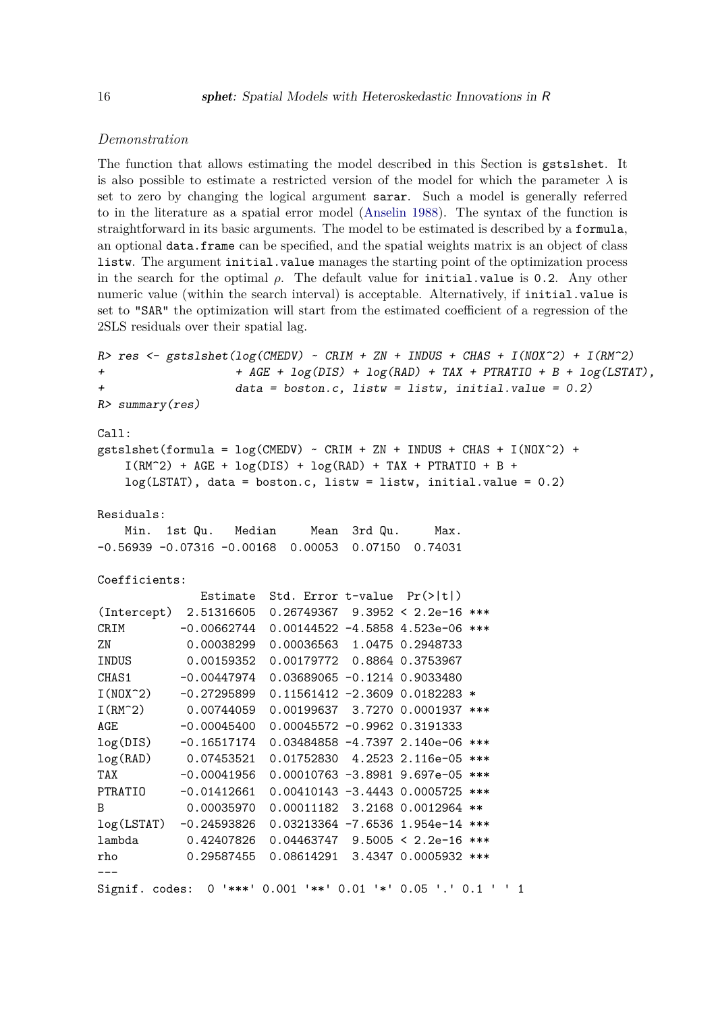### *Demonstration*

The function that allows estimating the model described in this Section is gstslshet. It is also possible to estimate a restricted version of the model for which the parameter  $\lambda$  is set to zero by changing the logical argument sarar. Such a model is generally referred to in the literature as a spatial error model [\(Anselin 1988\)](#page-17-6). The syntax of the function is straightforward in its basic arguments. The model to be estimated is described by a formula, an optional data.frame can be specified, and the spatial weights matrix is an object of class listw. The argument initial.value manages the starting point of the optimization process in the search for the optimal  $\rho$ . The default value for initial.value is 0.2. Any other numeric value (within the search interval) is acceptable. Alternatively, if initial.value is set to "SAR" the optimization will start from the estimated coefficient of a regression of the 2SLS residuals over their spatial lag.

```
R> res <- gstslshet(log(CMEDV) ~ CRIM + ZN + INDUS + CHAS + I(NOX^2) + I(RM^2)
+ + AGE + log(DIS) + log(RAD) + TAX + PTRATIO + B + log(LSTAT),
+ data = boston.c, listw = listw, initial.value = 0.2)
R> summary(res)
Call:
gstslshet(formula = log(CMEDV) ~ CRIM + ZN + INDUS + CHAS + I(NOX^2) +
   I(RM^2) + AGE + log(DIS) + log(RAD) + TAX + PTRATIO + B +
   log(LSTAT), data = boston.c, listw = listw, initial.value = 0.2)
Residuals:
   Min. 1st Qu. Median Mean 3rd Qu. Max.
-0.56939 -0.07316 -0.00168 0.00053 0.07150 0.74031
Coefficients:
             Estimate Std. Error t-value Pr(>|t|)
(Intercept) 2.51316605 0.26749367 9.3952 < 2.2e-16 ***
CRIM -0.00662744 0.00144522 -4.5858 4.523e-06 ***
ZN 0.00038299 0.00036563 1.0475 0.2948733
INDUS 0.00159352 0.00179772 0.8864 0.3753967
CHAS1 -0.00447974 0.03689065 -0.1214 0.9033480
I(N0X^2) -0.27295899 0.11561412 -2.3609 0.0182283 *
I(RM^2) 0.00744059 0.00199637 3.7270 0.0001937 ***
AGE -0.00045400 0.00045572 -0.9962 0.3191333
log(DIS) -0.16517174 0.03484858 -4.7397 2.140e-06 ***
log(RAD) 0.07453521 0.01752830 4.2523 2.116e-05 ***
TAX -0.00041956 0.00010763 -3.8981 9.697e-05 ***
PTRATIO -0.01412661 0.00410143 -3.4443 0.0005725 ***
B 0.00035970 0.00011182 3.2168 0.0012964 **
log(LSTAT) -0.24593826 0.03213364 -7.6536 1.954e-14 ***
lambda 0.42407826 0.04463747 9.5005 < 2.2e-16 ***
rho 0.29587455 0.08614291 3.4347 0.0005932 ***
---Signif. codes: 0 '***' 0.001 '**' 0.01 '*' 0.05 '.' 0.1 ' ' 1
```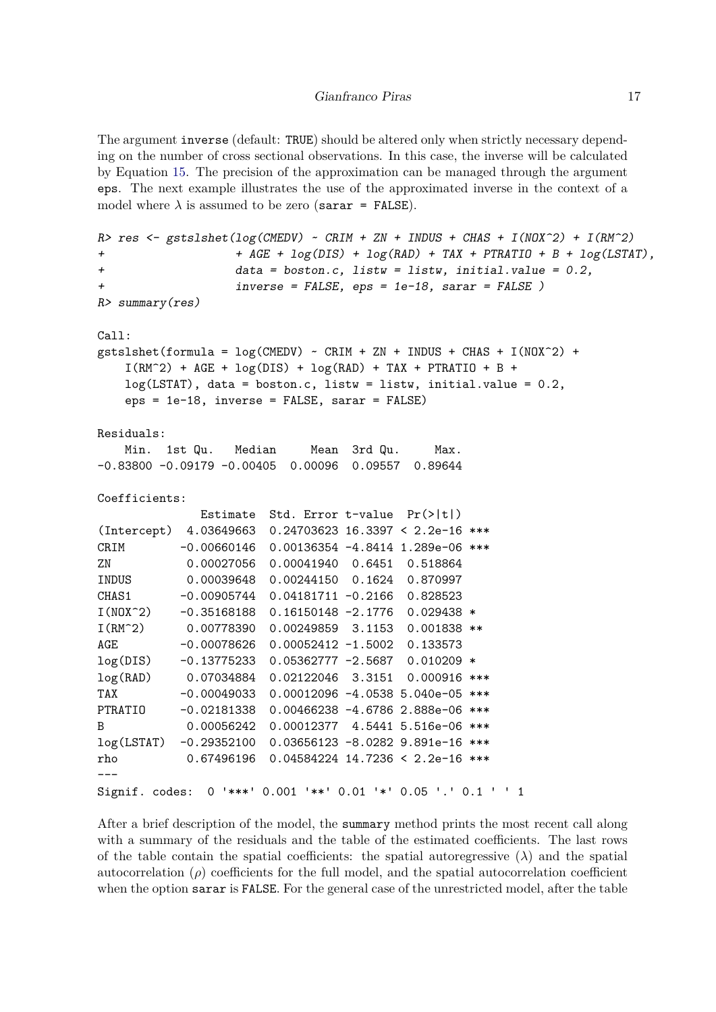The argument inverse (default: TRUE) should be altered only when strictly necessary depending on the number of cross sectional observations. In this case, the inverse will be calculated by Equation [15.](#page-14-2) The precision of the approximation can be managed through the argument eps. The next example illustrates the use of the approximated inverse in the context of a model where  $\lambda$  is assumed to be zero (sarar = FALSE).

```
R res \leq gstslshet(log(CMEDV) \sim CRIM + ZN + INDUS + CHAS + I(NOX^2) + I(RM^2)
+ + AGE + log(DIS) + log(RAD) + TAX + PTRATIO + B + log(LSTAT),
+ data = boston.c, listw = listw, initial.value = 0.2,
+ inverse = FALSE, eps = 1e-18, sarar = FALSE )
R> summary(res)
Call:
gstslshet(formula = log(CMEDV) ~ CRIM + ZN + INDUS + CHAS + I(NOX^2) +I(RM^2) + AGE + log(DIS) + log(RAD) + TAX + PTRATIO + B +
   log(LSTAT), data = boston.c, listw = listw, initial.value = 0.2,
   eps = 1e-18, inverse = FALSE, sarar = FALSE)
Residuals:
   Min. 1st Qu. Median Mean 3rd Qu. Max.
-0.83800 -0.09179 -0.00405 0.00096 0.09557 0.89644
Coefficients:
             Estimate Std. Error t-value Pr(>|t|)
(Intercept) 4.03649663 0.24703623 16.3397 < 2.2e-16 ***
CRIM -0.00660146 0.00136354 -4.8414 1.289e-06 ***
ZN 0.00027056 0.00041940 0.6451 0.518864
INDUS 0.00039648 0.00244150 0.1624 0.870997
CHAS1 -0.00905744 0.04181711 -0.2166 0.828523
I(N0X^2) -0.35168188 0.16150148 -2.1776 0.029438 *
I(RM^2) 0.00778390 0.00249859 3.1153 0.001838 **
AGE -0.00078626 0.00052412 -1.5002 0.133573
log(DIS) -0.13775233 0.05362777 -2.5687 0.010209 *
log(RAD) 0.07034884 0.02122046 3.3151 0.000916 ***
TAX -0.00049033 0.00012096 -4.0538 5.040e-05 ***
PTRATIO -0.02181338 0.00466238 -4.6786 2.888e-06 ***
B 0.00056242 0.00012377 4.5441 5.516e-06 ***
log(LSTAT) -0.29352100 0.03656123 -8.0282 9.891e-16 ***
rho 0.67496196 0.04584224 14.7236 < 2.2e-16 ***
---
Signif. codes: 0 '***' 0.001 '**' 0.01 '*' 0.05 '.' 0.1 ' ' 1
```
After a brief description of the model, the summary method prints the most recent call along with a summary of the residuals and the table of the estimated coefficients. The last rows of the table contain the spatial coefficients: the spatial autoregressive  $(\lambda)$  and the spatial autocorrelation  $(\rho)$  coefficients for the full model, and the spatial autocorrelation coefficient when the option sarar is FALSE. For the general case of the unrestricted model, after the table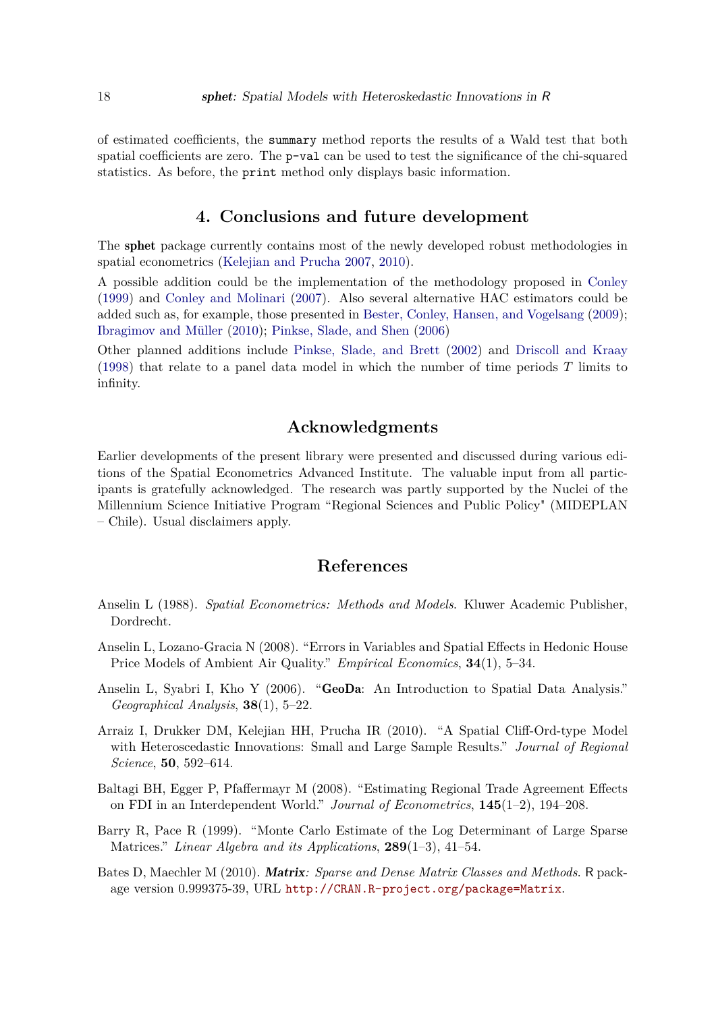of estimated coefficients, the summary method reports the results of a Wald test that both spatial coefficients are zero. The p-val can be used to test the significance of the chi-squared statistics. As before, the print method only displays basic information.

# **4. Conclusions and future development**

The sphet package currently contains most of the newly developed robust methodologies in spatial econometrics [\(Kelejian and Prucha 2007,](#page-18-0) [2010\)](#page-19-1).

A possible addition could be the implementation of the methodology proposed in [Conley](#page-18-12) [\(1999\)](#page-18-12) and [Conley and Molinari](#page-18-13) [\(2007\)](#page-18-13). Also several alternative HAC estimators could be added such as, for example, those presented in [Bester, Conley, Hansen, and Vogelsang](#page-18-14) [\(2009\)](#page-18-14); [Ibragimov and Müller](#page-18-15) [\(2010\)](#page-18-15); [Pinkse, Slade, and Shen](#page-19-14) [\(2006\)](#page-19-14)

Other planned additions include [Pinkse, Slade, and Brett](#page-19-15) [\(2002\)](#page-19-15) and [Driscoll and Kraay](#page-18-16) [\(1998\)](#page-18-16) that relate to a panel data model in which the number of time periods *T* limits to infinity.

# **Acknowledgments**

Earlier developments of the present library were presented and discussed during various editions of the Spatial Econometrics Advanced Institute. The valuable input from all participants is gratefully acknowledged. The research was partly supported by the Nuclei of the Millennium Science Initiative Program "Regional Sciences and Public Policy" (MIDEPLAN – Chile). Usual disclaimers apply.

### **References**

- <span id="page-17-6"></span>Anselin L (1988). *Spatial Econometrics: Methods and Models*. Kluwer Academic Publisher, Dordrecht.
- <span id="page-17-2"></span>Anselin L, Lozano-Gracia N (2008). "Errors in Variables and Spatial Effects in Hedonic House Price Models of Ambient Air Quality." *Empirical Economics*, **34**(1), 5–34.
- <span id="page-17-5"></span>Anselin L, Syabri I, Kho Y (2006). "GeoDa: An Introduction to Spatial Data Analysis." *Geographical Analysis*, **38**(1), 5–22.
- <span id="page-17-0"></span>Arraiz I, Drukker DM, Kelejian HH, Prucha IR (2010). "A Spatial Cliff-Ord-type Model with Heteroscedastic Innovations: Small and Large Sample Results." *Journal of Regional Science*, **50**, 592–614.
- <span id="page-17-3"></span>Baltagi BH, Egger P, Pfaffermayr M (2008). "Estimating Regional Trade Agreement Effects on FDI in an Interdependent World." *Journal of Econometrics*, **145**(1–2), 194–208.
- <span id="page-17-1"></span>Barry R, Pace R (1999). "Monte Carlo Estimate of the Log Determinant of Large Sparse Matrices." *Linear Algebra and its Applications*, **289**(1–3), 41–54.
- <span id="page-17-4"></span>Bates D, Maechler M (2010). Matrix*: Sparse and Dense Matrix Classes and Methods*. R package version 0.999375-39, URL <http://CRAN.R-project.org/package=Matrix>.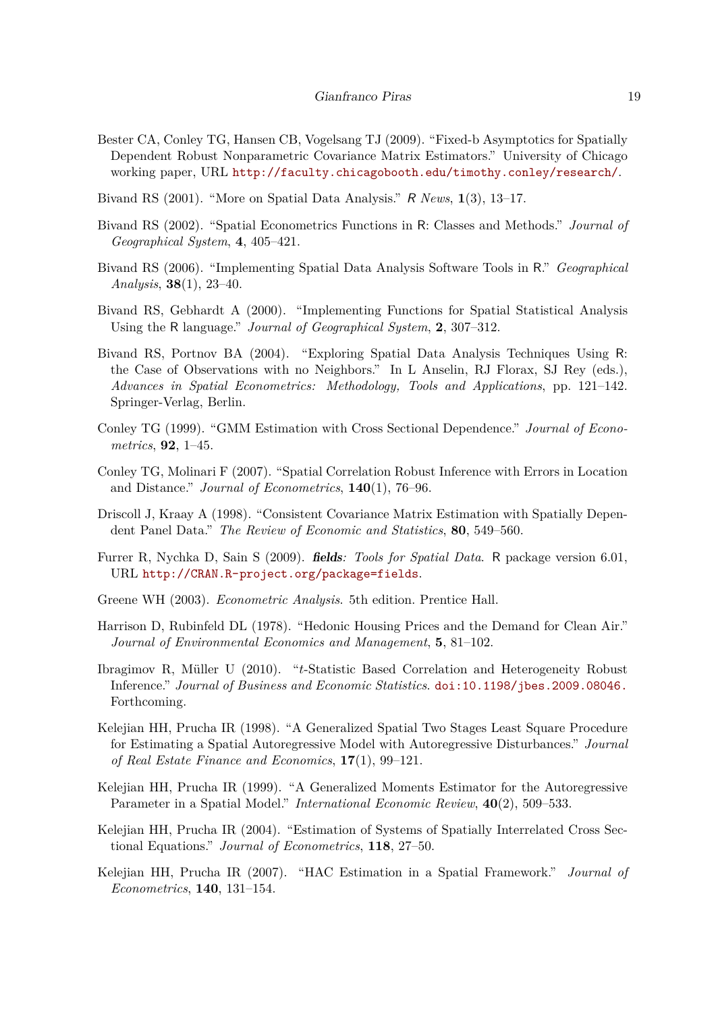- <span id="page-18-14"></span>Bester CA, Conley TG, Hansen CB, Vogelsang TJ (2009). "Fixed-b Asymptotics for Spatially Dependent Robust Nonparametric Covariance Matrix Estimators." University of Chicago working paper, URL <http://faculty.chicagobooth.edu/timothy.conley/research/>.
- <span id="page-18-1"></span>Bivand RS (2001). "More on Spatial Data Analysis." R *News*, **1**(3), 13–17.
- <span id="page-18-2"></span>Bivand RS (2002). "Spatial Econometrics Functions in R: Classes and Methods." *Journal of Geographical System*, **4**, 405–421.
- <span id="page-18-3"></span>Bivand RS (2006). "Implementing Spatial Data Analysis Software Tools in R." *Geographical Analysis*, **38**(1), 23–40.
- <span id="page-18-4"></span>Bivand RS, Gebhardt A (2000). "Implementing Functions for Spatial Statistical Analysis Using the R language." *Journal of Geographical System*, **2**, 307–312.
- <span id="page-18-5"></span>Bivand RS, Portnov BA (2004). "Exploring Spatial Data Analysis Techniques Using R: the Case of Observations with no Neighbors." In L Anselin, RJ Florax, SJ Rey (eds.), *Advances in Spatial Econometrics: Methodology, Tools and Applications*, pp. 121–142. Springer-Verlag, Berlin.
- <span id="page-18-12"></span>Conley TG (1999). "GMM Estimation with Cross Sectional Dependence." *Journal of Econometrics*, **92**, 1–45.
- <span id="page-18-13"></span>Conley TG, Molinari F (2007). "Spatial Correlation Robust Inference with Errors in Location and Distance." *Journal of Econometrics*, **140**(1), 76–96.
- <span id="page-18-16"></span>Driscoll J, Kraay A (1998). "Consistent Covariance Matrix Estimation with Spatially Dependent Panel Data." *The Review of Economic and Statistics*, **80**, 549–560.
- <span id="page-18-9"></span>Furrer R, Nychka D, Sain S (2009). fields*: Tools for Spatial Data*. R package version 6.01, URL <http://CRAN.R-project.org/package=fields>.
- <span id="page-18-11"></span>Greene WH (2003). *Econometric Analysis*. 5th edition. Prentice Hall.
- <span id="page-18-8"></span>Harrison D, Rubinfeld DL (1978). "Hedonic Housing Prices and the Demand for Clean Air." *Journal of Environmental Economics and Management*, **5**, 81–102.
- <span id="page-18-15"></span>Ibragimov R, Müller U (2010). "*t*-Statistic Based Correlation and Heterogeneity Robust Inference." *Journal of Business and Economic Statistics*. [doi:10.1198/jbes.2009.08046.](https://doi.org/10.1198/jbes.2009.08046.) Forthcoming.
- <span id="page-18-6"></span>Kelejian HH, Prucha IR (1998). "A Generalized Spatial Two Stages Least Square Procedure for Estimating a Spatial Autoregressive Model with Autoregressive Disturbances." *Journal of Real Estate Finance and Economics*, **17**(1), 99–121.
- <span id="page-18-7"></span>Kelejian HH, Prucha IR (1999). "A Generalized Moments Estimator for the Autoregressive Parameter in a Spatial Model." *International Economic Review*, **40**(2), 509–533.
- <span id="page-18-10"></span>Kelejian HH, Prucha IR (2004). "Estimation of Systems of Spatially Interrelated Cross Sectional Equations." *Journal of Econometrics*, **118**, 27–50.
- <span id="page-18-0"></span>Kelejian HH, Prucha IR (2007). "HAC Estimation in a Spatial Framework." *Journal of Econometrics*, **140**, 131–154.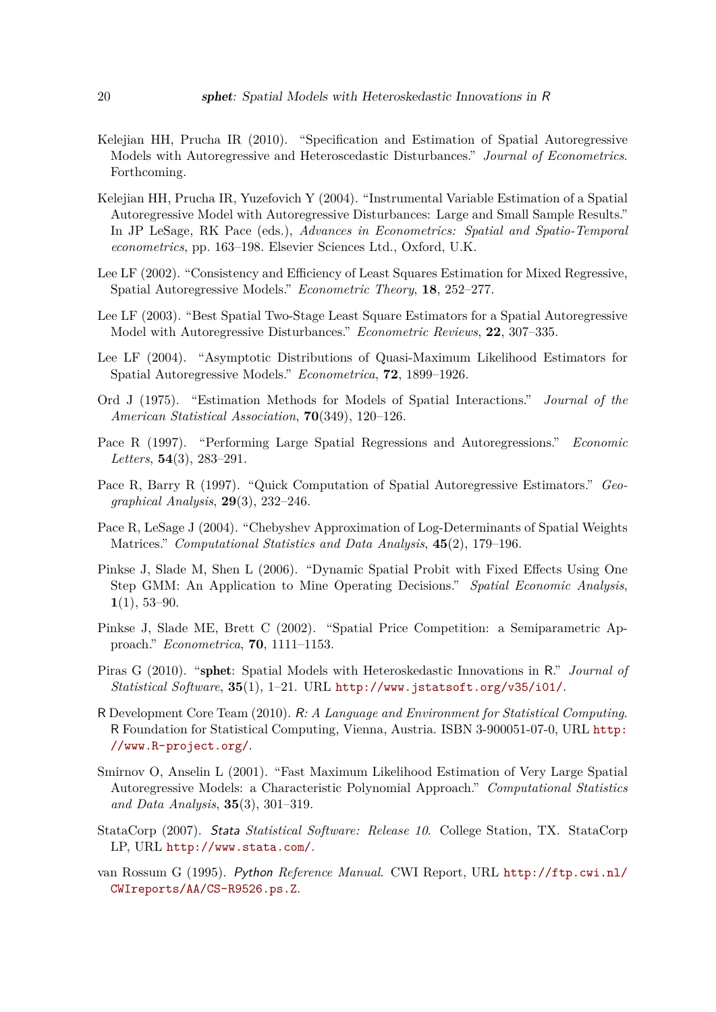- <span id="page-19-1"></span>Kelejian HH, Prucha IR (2010). "Specification and Estimation of Spatial Autoregressive Models with Autoregressive and Heteroscedastic Disturbances." *Journal of Econometrics*. Forthcoming.
- <span id="page-19-11"></span>Kelejian HH, Prucha IR, Yuzefovich Y (2004). "Instrumental Variable Estimation of a Spatial Autoregressive Model with Autoregressive Disturbances: Large and Small Sample Results." In JP LeSage, RK Pace (eds.), *Advances in Econometrics: Spatial and Spatio-Temporal econometrics*, pp. 163–198. Elsevier Sciences Ltd., Oxford, U.K.
- <span id="page-19-13"></span>Lee LF (2002). "Consistency and Efficiency of Least Squares Estimation for Mixed Regressive, Spatial Autoregressive Models." *Econometric Theory*, **18**, 252–277.
- <span id="page-19-12"></span>Lee LF (2003). "Best Spatial Two-Stage Least Square Estimators for a Spatial Autoregressive Model with Autoregressive Disturbances." *Econometric Reviews*, **22**, 307–335.
- <span id="page-19-8"></span>Lee LF (2004). "Asymptotic Distributions of Quasi-Maximum Likelihood Estimators for Spatial Autoregressive Models." *Econometrica*, **72**, 1899–1926.
- <span id="page-19-3"></span>Ord J (1975). "Estimation Methods for Models of Spatial Interactions." *Journal of the American Statistical Association*, **70**(349), 120–126.
- <span id="page-19-5"></span>Pace R (1997). "Performing Large Spatial Regressions and Autoregressions." *Economic Letters*, **54**(3), 283–291.
- <span id="page-19-6"></span>Pace R, Barry R (1997). "Quick Computation of Spatial Autoregressive Estimators." *Geographical Analysis*, **29**(3), 232–246.
- <span id="page-19-7"></span>Pace R, LeSage J (2004). "Chebyshev Approximation of Log-Determinants of Spatial Weights Matrices." *Computational Statistics and Data Analysis*, **45**(2), 179–196.
- <span id="page-19-14"></span>Pinkse J, Slade M, Shen L (2006). "Dynamic Spatial Probit with Fixed Effects Using One Step GMM: An Application to Mine Operating Decisions." *Spatial Economic Analysis*, **1**(1), 53–90.
- <span id="page-19-15"></span>Pinkse J, Slade ME, Brett C (2002). "Spatial Price Competition: a Semiparametric Approach." *Econometrica*, **70**, 1111–1153.
- <span id="page-19-0"></span>Piras G (2010). "sphet: Spatial Models with Heteroskedastic Innovations in R." *Journal of Statistical Software*, **35**(1), 1–21. URL <http://www.jstatsoft.org/v35/i01/>.
- <span id="page-19-2"></span>R Development Core Team (2010). R*: A Language and Environment for Statistical Computing*. R Foundation for Statistical Computing, Vienna, Austria. ISBN 3-900051-07-0, URL [http:](http://www.R-project.org/) [//www.R-project.org/](http://www.R-project.org/).
- <span id="page-19-4"></span>Smirnov O, Anselin L (2001). "Fast Maximum Likelihood Estimation of Very Large Spatial Autoregressive Models: a Characteristic Polynomial Approach." *Computational Statistics and Data Analysis*, **35**(3), 301–319.
- <span id="page-19-9"></span>StataCorp (2007). Stata *Statistical Software: Release 10*. College Station, TX. StataCorp LP, URL <http://www.stata.com/>.
- <span id="page-19-10"></span>van Rossum G (1995). Python *Reference Manual*. CWI Report, URL [http://ftp.cwi.nl/](http://ftp.cwi.nl/CWIreports/AA/CS-R9526.ps.Z) [CWIreports/AA/CS-R9526.ps.Z](http://ftp.cwi.nl/CWIreports/AA/CS-R9526.ps.Z).